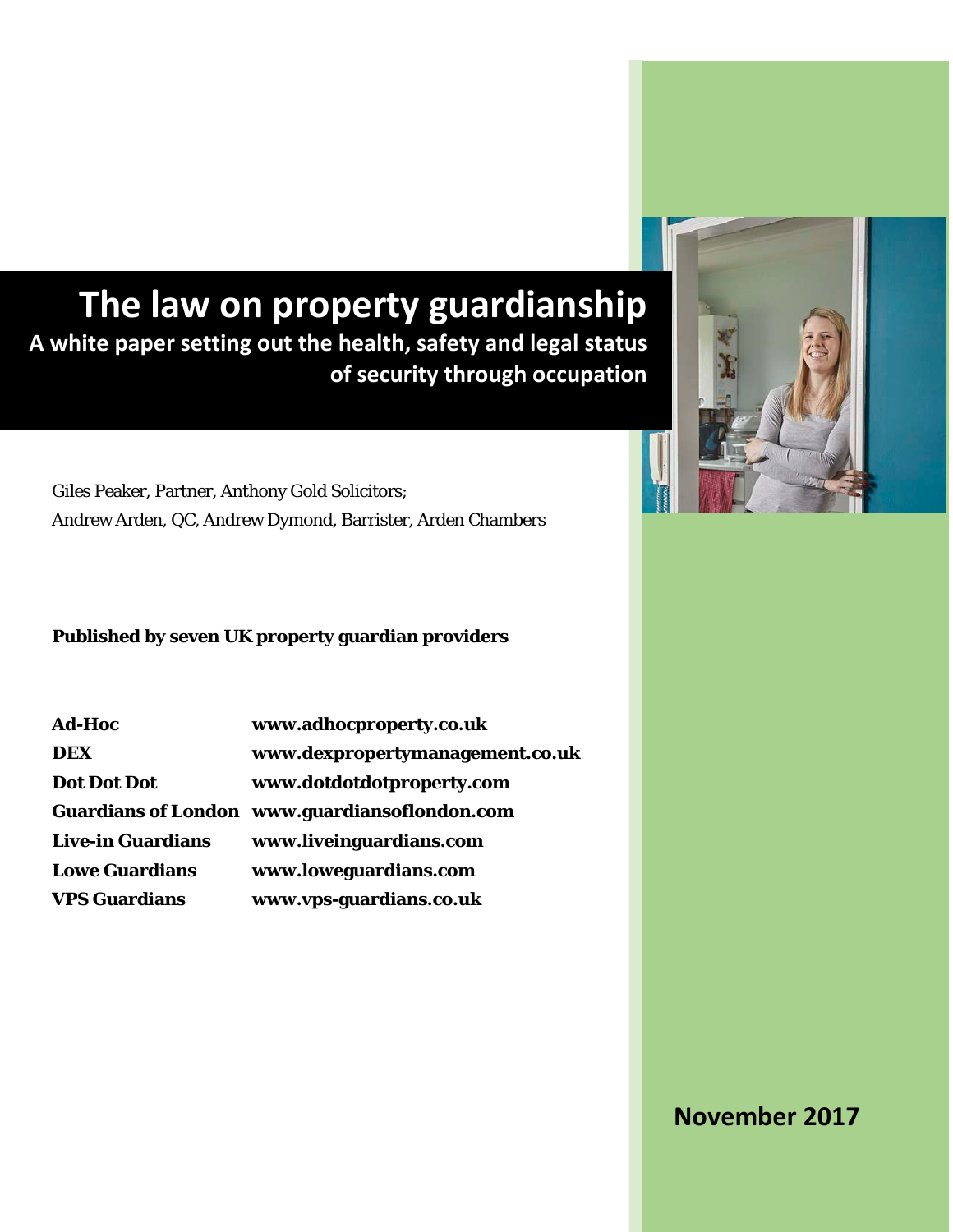# **The law on property guardianship A white paper setting out the health, safety and legal status of security through occupation**

Giles Peaker, Partner, Anthony Gold Solicitors; Andrew Arden, QC, Andrew Dymond, Barrister, Arden Chambers

## **Published by seven UK property guardian providers**

| <b>Ad-Hoc</b>            | www.adhocproperty.co.uk                       |
|--------------------------|-----------------------------------------------|
| <b>DEX</b>               | www.dexpropertymanagement.co.uk               |
| <b>Dot Dot Dot</b>       | www.dotdotdotproperty.com                     |
|                          | Guardians of London www.guardiansoflondon.com |
| <b>Live-in Guardians</b> | www.liveinguardians.com                       |
| <b>Lowe Guardians</b>    | www.loweguardians.com                         |
| <b>VPS Guardians</b>     | www.vps-guardians.co.uk                       |



## **November 2017**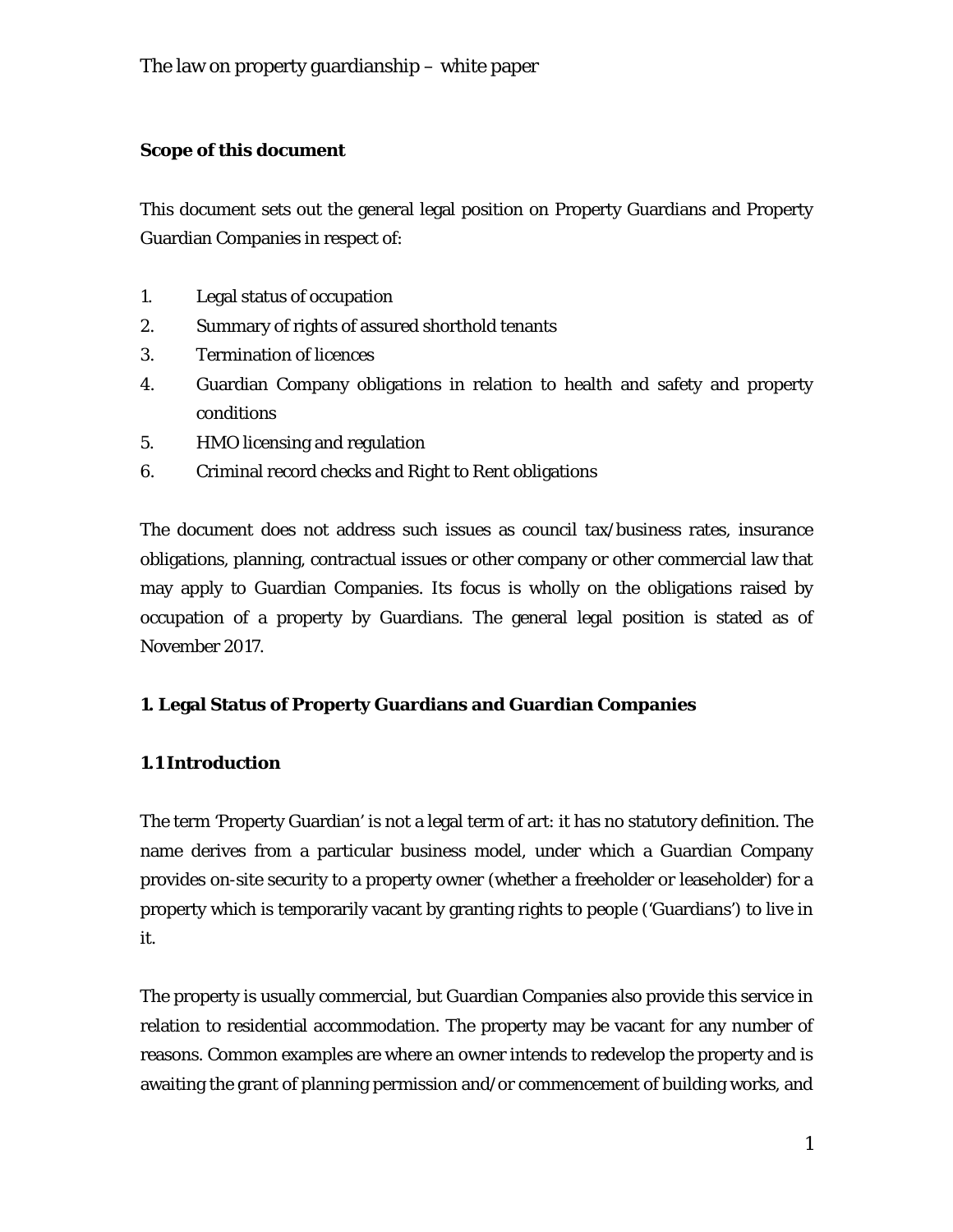## **Scope of this document**

This document sets out the general legal position on Property Guardians and Property Guardian Companies in respect of:

- 1. Legal status of occupation
- 2. Summary of rights of assured shorthold tenants
- 3. Termination of licences
- 4. Guardian Company obligations in relation to health and safety and property conditions
- 5. HMO licensing and regulation
- 6. Criminal record checks and Right to Rent obligations

The document does not address such issues as council tax/business rates, insurance obligations, planning, contractual issues or other company or other commercial law that may apply to Guardian Companies. Its focus is wholly on the obligations raised by occupation of a property by Guardians. The general legal position is stated as of November 2017.

## **1. Legal Status of Property Guardians and Guardian Companies**

## **1.1 Introduction**

The term 'Property Guardian' is not a legal term of art: it has no statutory definition. The name derives from a particular business model, under which a Guardian Company provides on-site security to a property owner (whether a freeholder or leaseholder) for a property which is temporarily vacant by granting rights to people ('Guardians') to live in it.

The property is usually commercial, but Guardian Companies also provide this service in relation to residential accommodation. The property may be vacant for any number of reasons. Common examples are where an owner intends to redevelop the property and is awaiting the grant of planning permission and/or commencement of building works, and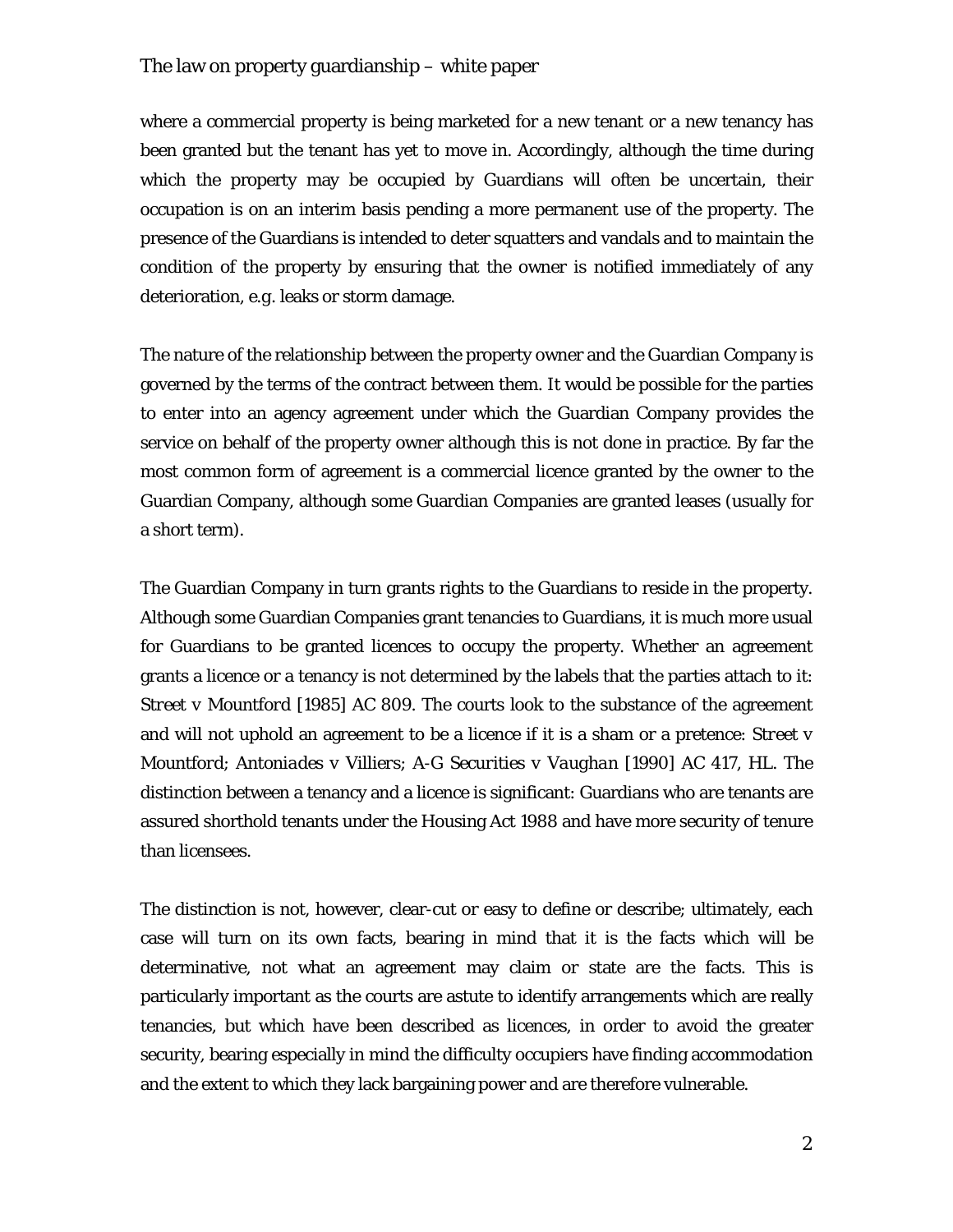where a commercial property is being marketed for a new tenant or a new tenancy has been granted but the tenant has yet to move in. Accordingly, although the time during which the property may be occupied by Guardians will often be uncertain, their occupation is on an interim basis pending a more permanent use of the property. The presence of the Guardians is intended to deter squatters and vandals and to maintain the condition of the property by ensuring that the owner is notified immediately of any deterioration, *e.g.* leaks or storm damage.

The nature of the relationship between the property owner and the Guardian Company is governed by the terms of the contract between them. It would be possible for the parties to enter into an agency agreement under which the Guardian Company provides the service on behalf of the property owner although this is not done in practice. By far the most common form of agreement is a commercial licence granted by the owner to the Guardian Company, although some Guardian Companies are granted leases (usually for a short term).

The Guardian Company in turn grants rights to the Guardians to reside in the property. Although some Guardian Companies grant tenancies to Guardians, it is much more usual for Guardians to be granted licences to occupy the property. Whether an agreement grants a licence or a tenancy is not determined by the labels that the parties attach to it: *Street v Mountford* [1985] AC 809. The courts look to the substance of the agreement and will not uphold an agreement to be a licence if it is a sham or a pretence: *Street v Mountford*; *Antoniades v Villiers*; *A-G Securities v Vaughan* [1990] AC 417, HL. The distinction between a tenancy and a licence is significant: Guardians who are tenants are assured shorthold tenants under the Housing Act 1988 and have more security of tenure than licensees.

The distinction is not, however, clear-cut or easy to define or describe; ultimately, each case will turn on its own facts, bearing in mind that it is the facts which will be determinative, not what an agreement may claim or state are the facts. This is particularly important as the courts are astute to identify arrangements which are really tenancies, but which have been described as licences, in order to avoid the greater security, bearing especially in mind the difficulty occupiers have finding accommodation and the extent to which they lack bargaining power and are therefore vulnerable.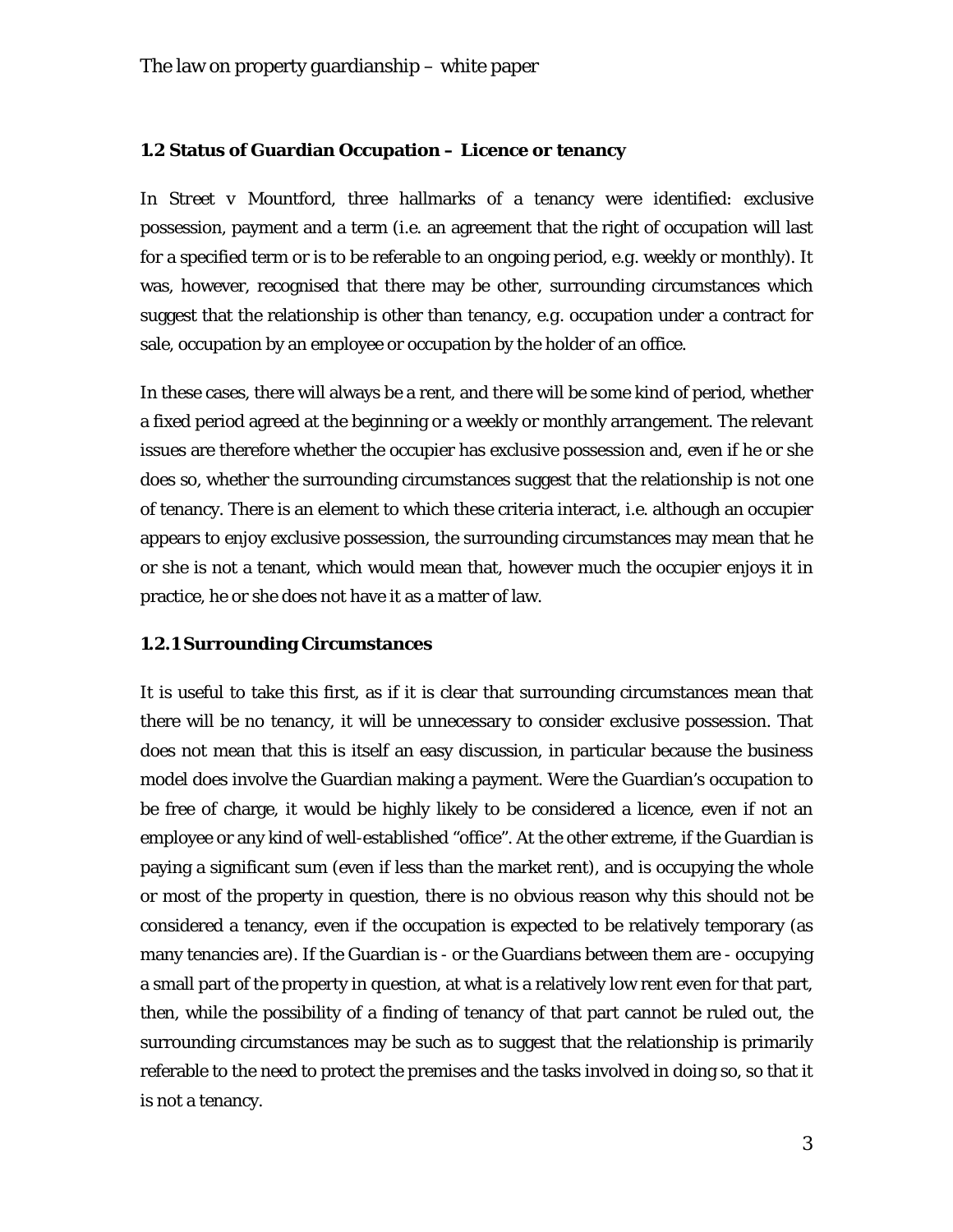#### **1.2 Status of Guardian Occupation – Licence or tenancy**

In *Street v Mountford*, three hallmarks of a tenancy were identified: exclusive possession, payment and a term (*i.e.* an agreement that the right of occupation will last for a specified term or is to be referable to an ongoing period, *e.g.* weekly or monthly). It was, however, recognised that there may be other, surrounding circumstances which suggest that the relationship is other than tenancy, *e.g.* occupation under a contract for sale, occupation by an employee or occupation by the holder of an office.

In these cases, there will always be a rent, and there will be some kind of period, whether a fixed period agreed at the beginning or a weekly or monthly arrangement. The relevant issues are therefore whether the occupier has exclusive possession and, even if he or she does so, whether the surrounding circumstances suggest that the relationship is not one of tenancy. There is an element to which these criteria interact, *i.e.* although an occupier appears to enjoy exclusive possession, the surrounding circumstances may mean that he or she is not a tenant, which would mean that, however much the occupier enjoys it in practice, he or she does not have it as a matter of law.

#### **1.2.1 Surrounding Circumstances**

It is useful to take this first, as if it is clear that surrounding circumstances mean that there will be no tenancy, it will be unnecessary to consider exclusive possession. That does not mean that this is itself an easy discussion, in particular because the business model does involve the Guardian making a payment. Were the Guardian's occupation to be free of charge, it would be highly likely to be considered a licence, even if not an employee or any kind of well-established "office". At the other extreme, if the Guardian is paying a significant sum (even if less than the market rent), and is occupying the whole or most of the property in question, there is no obvious reason why this should not be considered a tenancy, even if the occupation is expected to be relatively temporary (as many tenancies are). If the Guardian is - or the Guardians between them are - occupying a small part of the property in question, at what is a relatively low rent even for that part, then, while the possibility of a finding of tenancy of that part cannot be ruled out, the surrounding circumstances may be such as to suggest that the relationship is primarily referable to the need to protect the premises and the tasks involved in doing so, so that it is not a tenancy.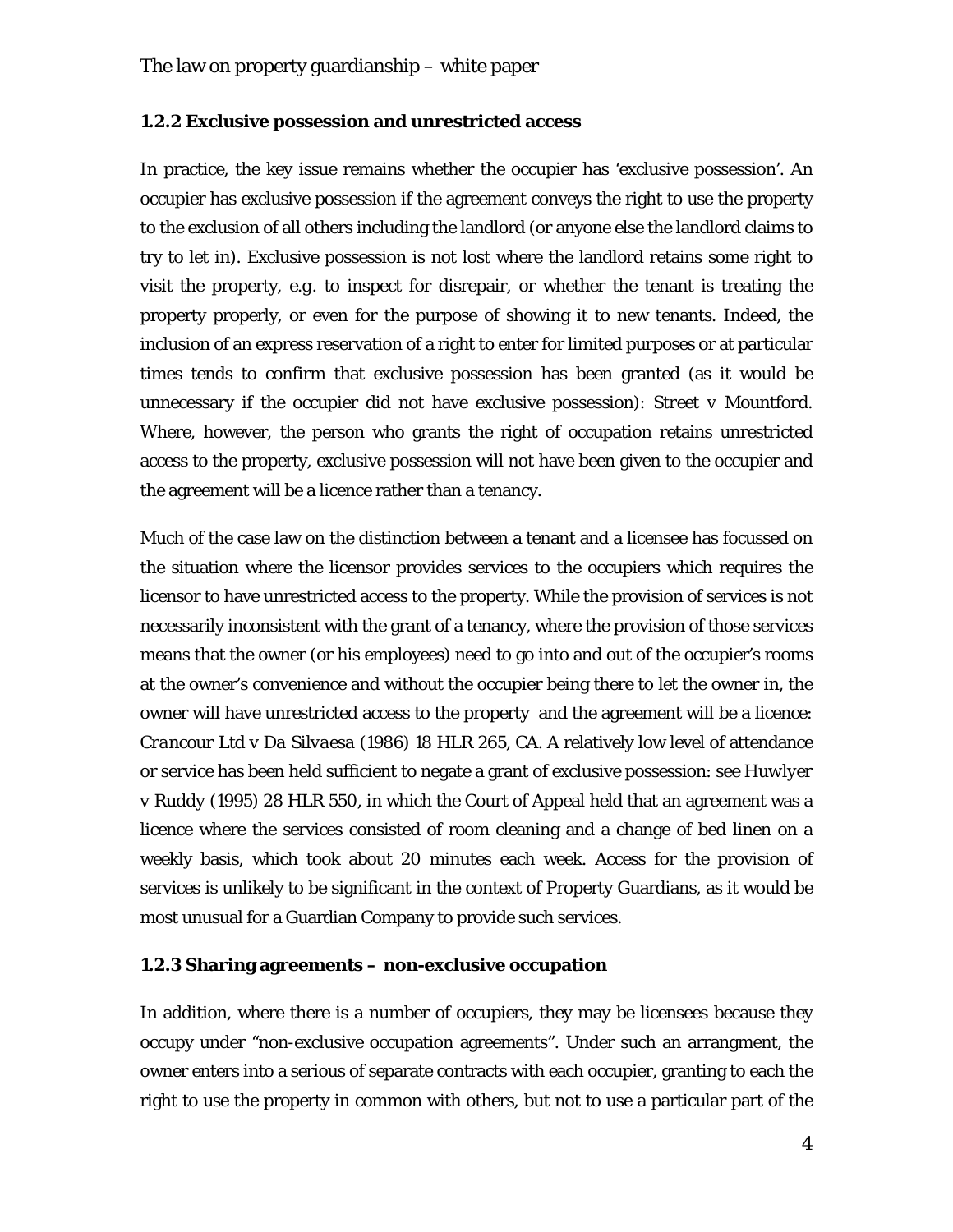#### **1.2.2 Exclusive possession and unrestricted access**

In practice, the key issue remains whether the occupier has 'exclusive possession'. An occupier has exclusive possession if the agreement conveys the right to use the property to the exclusion of all others including the landlord (or anyone else the landlord claims to try to let in). Exclusive possession is not lost where the landlord retains some right to visit the property, *e.g.* to inspect for disrepair, or whether the tenant is treating the property properly, or even for the purpose of showing it to new tenants. Indeed, the inclusion of an express reservation of a right to enter for limited purposes or at particular times tends to confirm that exclusive possession has been granted (as it would be unnecessary if the occupier did not have exclusive possession): *Street v Mountford*. Where, however, the person who grants the right of occupation retains unrestricted access to the property, exclusive possession will not have been given to the occupier and the agreement will be a licence rather than a tenancy.

Much of the case law on the distinction between a tenant and a licensee has focussed on the situation where the licensor provides services to the occupiers which requires the licensor to have unrestricted access to the property. While the provision of services is not necessarily inconsistent with the grant of a tenancy, where the provision of those services means that the owner (or his employees) need to go into and out of the occupier's rooms at the owner's convenience and without the occupier being there to let the owner in, the owner will have unrestricted access to the property and the agreement will be a licence: *Crancour Ltd v Da Silvaesa* (1986) 18 HLR 265, CA. A relatively low level of attendance or service has been held sufficient to negate a grant of exclusive possession: see *Huwlyer v Ruddy* (1995) 28 HLR 550, in which the Court of Appeal held that an agreement was a licence where the services consisted of room cleaning and a change of bed linen on a weekly basis, which took about 20 minutes each week. Access for the provision of services is unlikely to be significant in the context of Property Guardians, as it would be most unusual for a Guardian Company to provide such services.

#### **1.2.3 Sharing agreements – non-exclusive occupation**

In addition, where there is a number of occupiers, they may be licensees because they occupy under "non-exclusive occupation agreements". Under such an arrangment, the owner enters into a serious of separate contracts with each occupier, granting to each the right to use the property in common with others, but not to use a particular part of the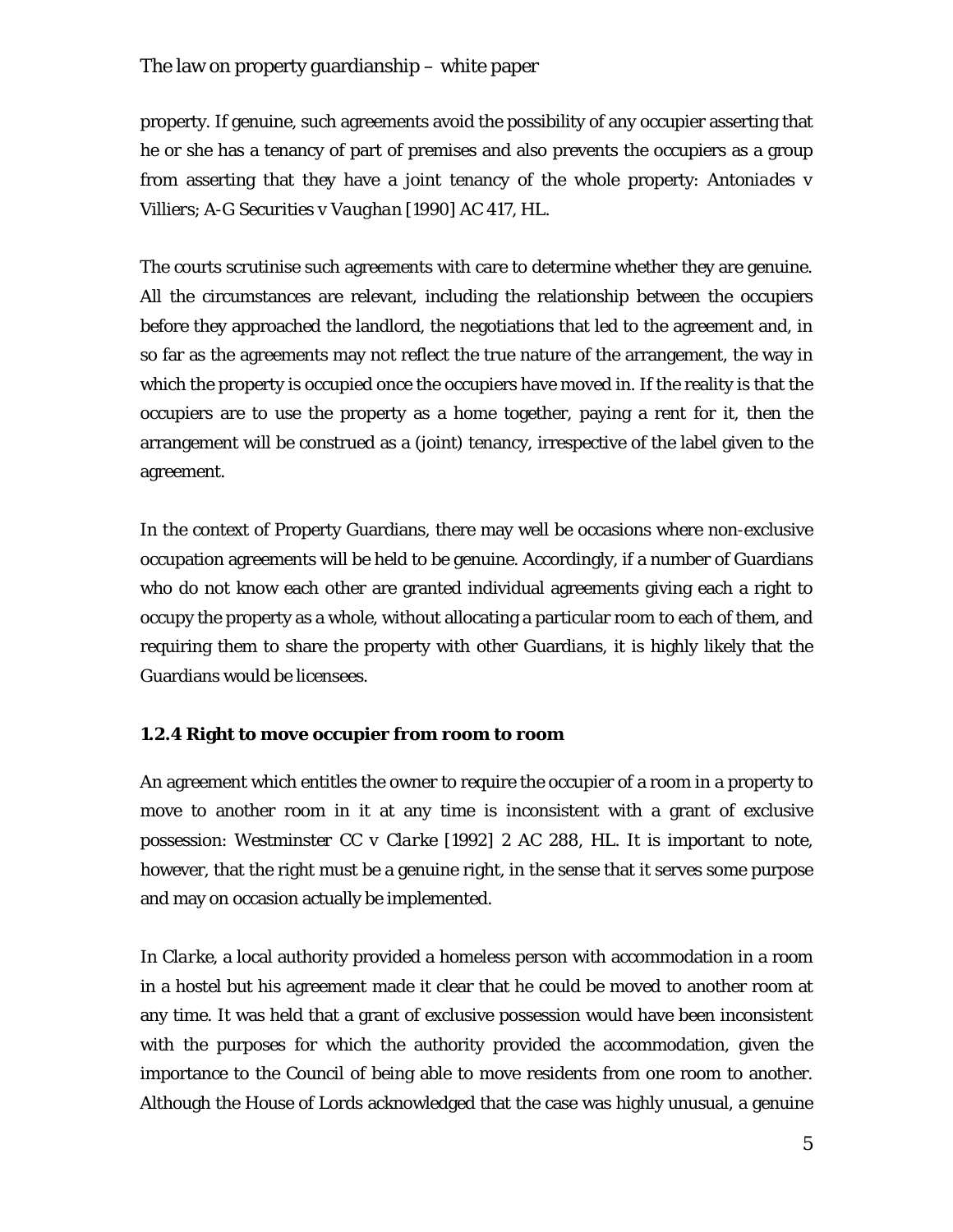property. If genuine, such agreements avoid the possibility of any occupier asserting that he or she has a tenancy of part of premises and also prevents the occupiers as a group from asserting that they have a joint tenancy of the whole property: *Antoniades v Villiers*; *A-G Securities v Vaughan* [1990] AC 417, HL.

The courts scrutinise such agreements with care to determine whether they are genuine. All the circumstances are relevant, including the relationship between the occupiers before they approached the landlord, the negotiations that led to the agreement and, in so far as the agreements may not reflect the true nature of the arrangement, the way in which the property is occupied once the occupiers have moved in. If the reality is that the occupiers are to use the property as a home together, paying a rent for it, then the arrangement will be construed as a (joint) tenancy, irrespective of the label given to the agreement.

In the context of Property Guardians, there may well be occasions where non-exclusive occupation agreements will be held to be genuine. Accordingly, if a number of Guardians who do not know each other are granted individual agreements giving each a right to occupy the property as a whole, without allocating a particular room to each of them, and requiring them to share the property with other Guardians, it is highly likely that the Guardians would be licensees.

#### **1.2.4 Right to move occupier from room to room**

An agreement which entitles the owner to require the occupier of a room in a property to move to another room in it at any time is inconsistent with a grant of exclusive possession: *Westminster CC v Clarke* [1992] 2 AC 288, HL. It is important to note, however, that the right must be a genuine right, in the sense that it serves some purpose and may on occasion actually be implemented.

In *Clarke*, a local authority provided a homeless person with accommodation in a room in a hostel but his agreement made it clear that he could be moved to another room at any time. It was held that a grant of exclusive possession would have been inconsistent with the purposes for which the authority provided the accommodation, given the importance to the Council of being able to move residents from one room to another. Although the House of Lords acknowledged that the case was highly unusual, a genuine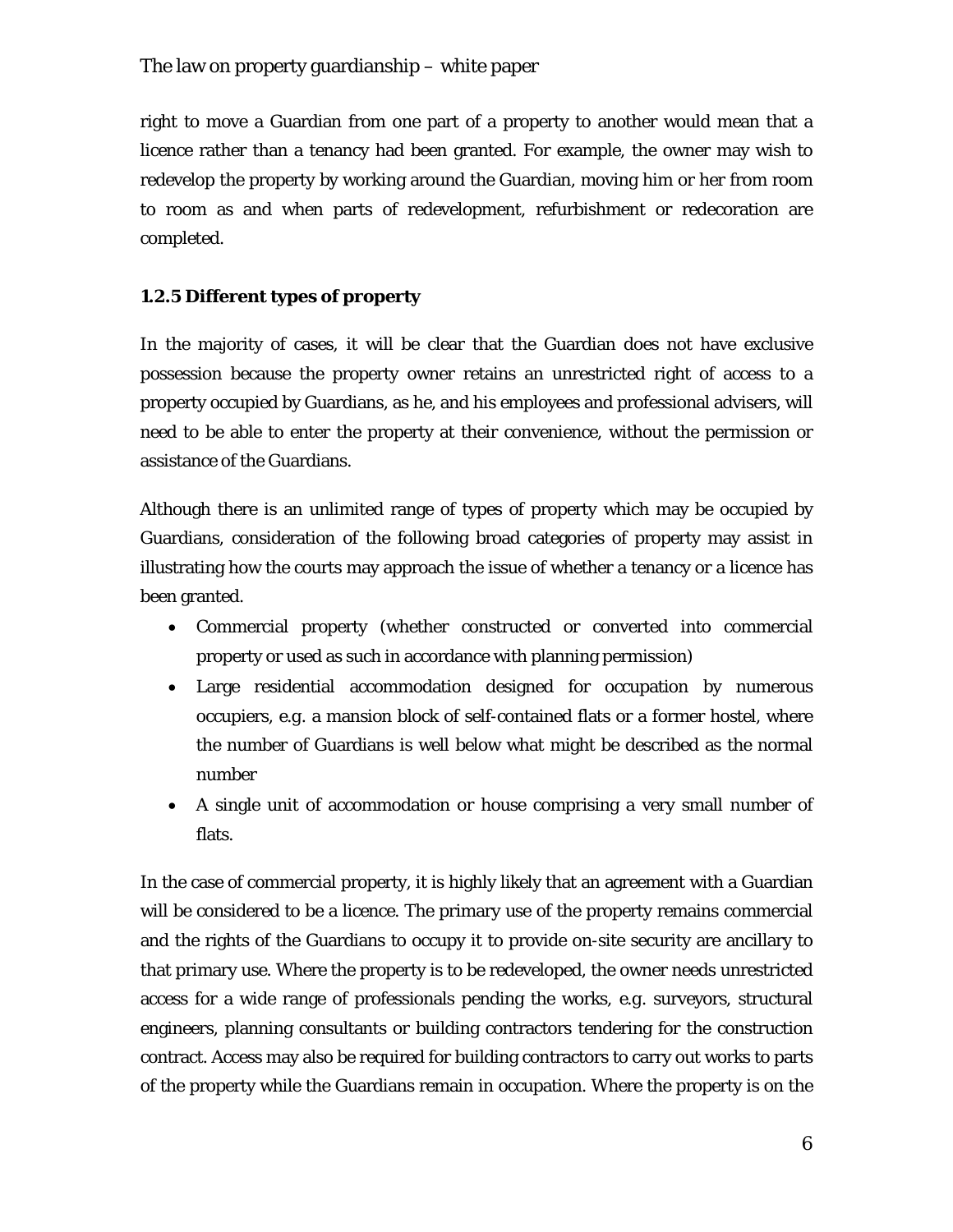right to move a Guardian from one part of a property to another would mean that a licence rather than a tenancy had been granted. For example, the owner may wish to redevelop the property by working around the Guardian, moving him or her from room to room as and when parts of redevelopment, refurbishment or redecoration are completed.

## **1.2.5 Different types of property**

In the majority of cases, it will be clear that the Guardian does not have exclusive possession because the property owner retains an unrestricted right of access to a property occupied by Guardians, as he, and his employees and professional advisers, will need to be able to enter the property at their convenience, without the permission or assistance of the Guardians.

Although there is an unlimited range of types of property which may be occupied by Guardians, consideration of the following broad categories of property may assist in illustrating how the courts may approach the issue of whether a tenancy or a licence has been granted.

- Commercial property (whether constructed or converted into commercial property or used as such in accordance with planning permission)
- Large residential accommodation designed for occupation by numerous occupiers, *e.g.* a mansion block of self-contained flats or a former hostel, where the number of Guardians is well below what might be described as the normal number
- A single unit of accommodation or house comprising a very small number of flats.

In the case of commercial property, it is highly likely that an agreement with a Guardian will be considered to be a licence. The primary use of the property remains commercial and the rights of the Guardians to occupy it to provide on-site security are ancillary to that primary use. Where the property is to be redeveloped, the owner needs unrestricted access for a wide range of professionals pending the works, *e.g.* surveyors, structural engineers, planning consultants or building contractors tendering for the construction contract. Access may also be required for building contractors to carry out works to parts of the property while the Guardians remain in occupation. Where the property is on the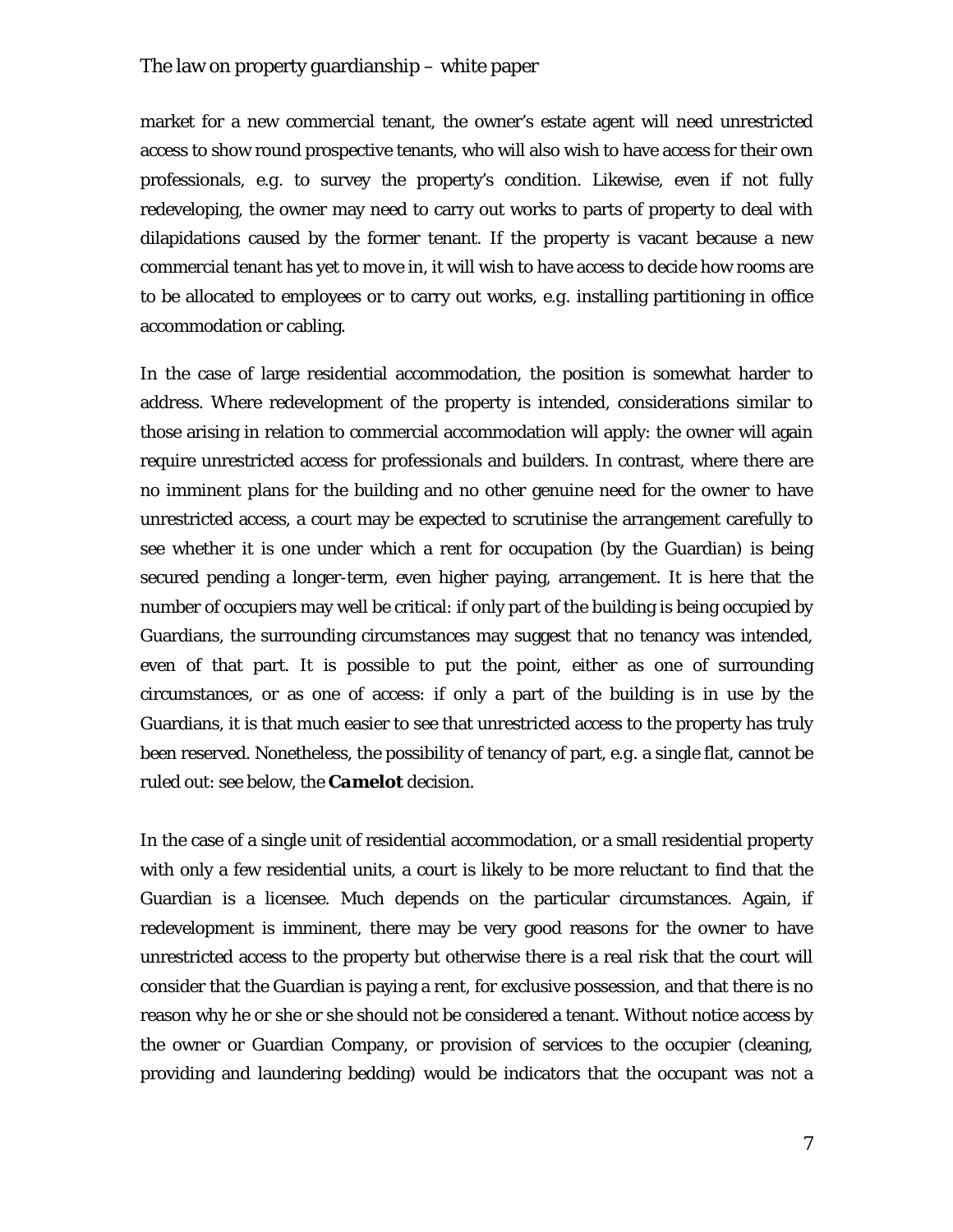market for a new commercial tenant, the owner's estate agent will need unrestricted access to show round prospective tenants, who will also wish to have access for their own professionals, *e.g.* to survey the property's condition. Likewise, even if not fully redeveloping, the owner may need to carry out works to parts of property to deal with dilapidations caused by the former tenant. If the property is vacant because a new commercial tenant has yet to move in, it will wish to have access to decide how rooms are to be allocated to employees or to carry out works, *e.g.* installing partitioning in office accommodation or cabling.

In the case of large residential accommodation, the position is somewhat harder to address. Where redevelopment of the property is intended, considerations similar to those arising in relation to commercial accommodation will apply: the owner will again require unrestricted access for professionals and builders. In contrast, where there are no imminent plans for the building and no other genuine need for the owner to have unrestricted access, a court may be expected to scrutinise the arrangement carefully to see whether it is one under which a rent for occupation (by the Guardian) is being secured pending a longer-term, even higher paying, arrangement. It is here that the number of occupiers may well be critical: if only part of the building is being occupied by Guardians, the surrounding circumstances may suggest that no tenancy was intended, even of that part. It is possible to put the point, either as one of surrounding circumstances, or as one of access: if only a part of the building is in use by the Guardians, it is that much easier to see that unrestricted access to the property has truly been reserved. Nonetheless, the possibility of tenancy of part, *e.g.* a single flat, cannot be ruled out: see below, the *Camelot* decision.

In the case of a single unit of residential accommodation, or a small residential property with only a few residential units, a court is likely to be more reluctant to find that the Guardian is a licensee. Much depends on the particular circumstances. Again, if redevelopment is imminent, there may be very good reasons for the owner to have unrestricted access to the property but otherwise there is a real risk that the court will consider that the Guardian is paying a rent, for exclusive possession, and that there is no reason why he or she or she should not be considered a tenant. Without notice access by the owner or Guardian Company, or provision of services to the occupier (cleaning, providing and laundering bedding) would be indicators that the occupant was not a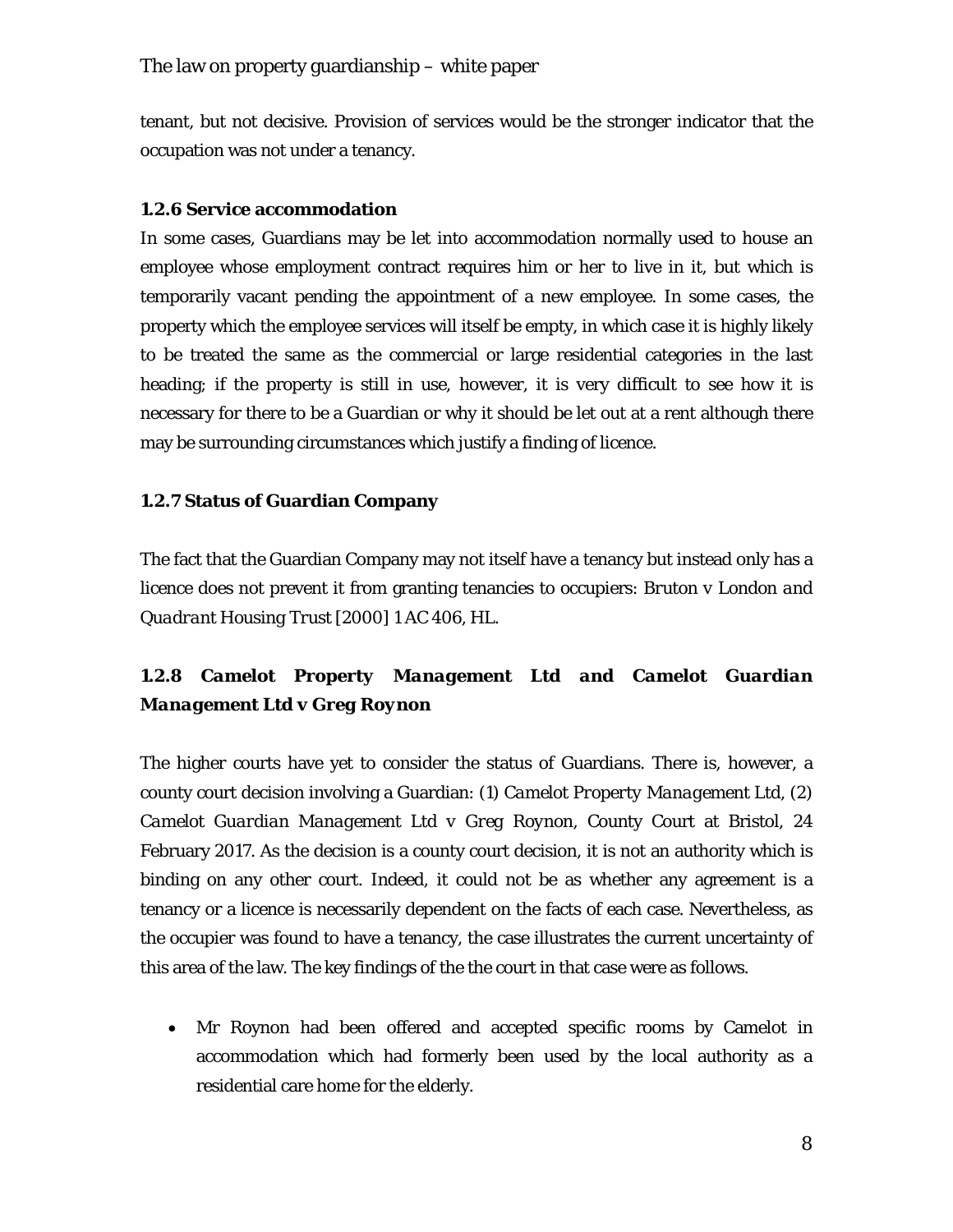tenant, but not decisive. Provision of services would be the stronger indicator that the occupation was not under a tenancy.

## **1.2.6 Service accommodation**

In some cases, Guardians may be let into accommodation normally used to house an employee whose employment contract requires him or her to live in it, but which is temporarily vacant pending the appointment of a new employee. In some cases, the property which the employee services will itself be empty, in which case it is highly likely to be treated the same as the commercial or large residential categories in the last heading; if the property is still in use, however, it is very difficult to see how it is necessary for there to be a Guardian or why it should be let out at a rent although there may be surrounding circumstances which justify a finding of licence.

## **1.2.7 Status of Guardian Company**

The fact that the Guardian Company may not itself have a tenancy but instead only has a licence does not prevent it from granting tenancies to occupiers: *Bruton v London and Quadrant Housing Trust* [2000] 1 AC 406, HL.

## **1.2.8** *Camelot Property Management Ltd and Camelot Guardian Management Ltd v Greg Roynon*

The higher courts have yet to consider the status of Guardians. There is, however, a county court decision involving a Guardian: (*1) Camelot Property Management Ltd, (2) Camelot Guardian Management Ltd v Greg Roynon*, County Court at Bristol, 24 February 2017. As the decision is a county court decision, it is not an authority which is binding on any other court. Indeed, it could not be as whether any agreement is a tenancy or a licence is necessarily dependent on the facts of each case. Nevertheless, as the occupier was found to have a tenancy, the case illustrates the current uncertainty of this area of the law. The key findings of the the court in that case were as follows.

• Mr Roynon had been offered and accepted specific rooms by Camelot in accommodation which had formerly been used by the local authority as a residential care home for the elderly.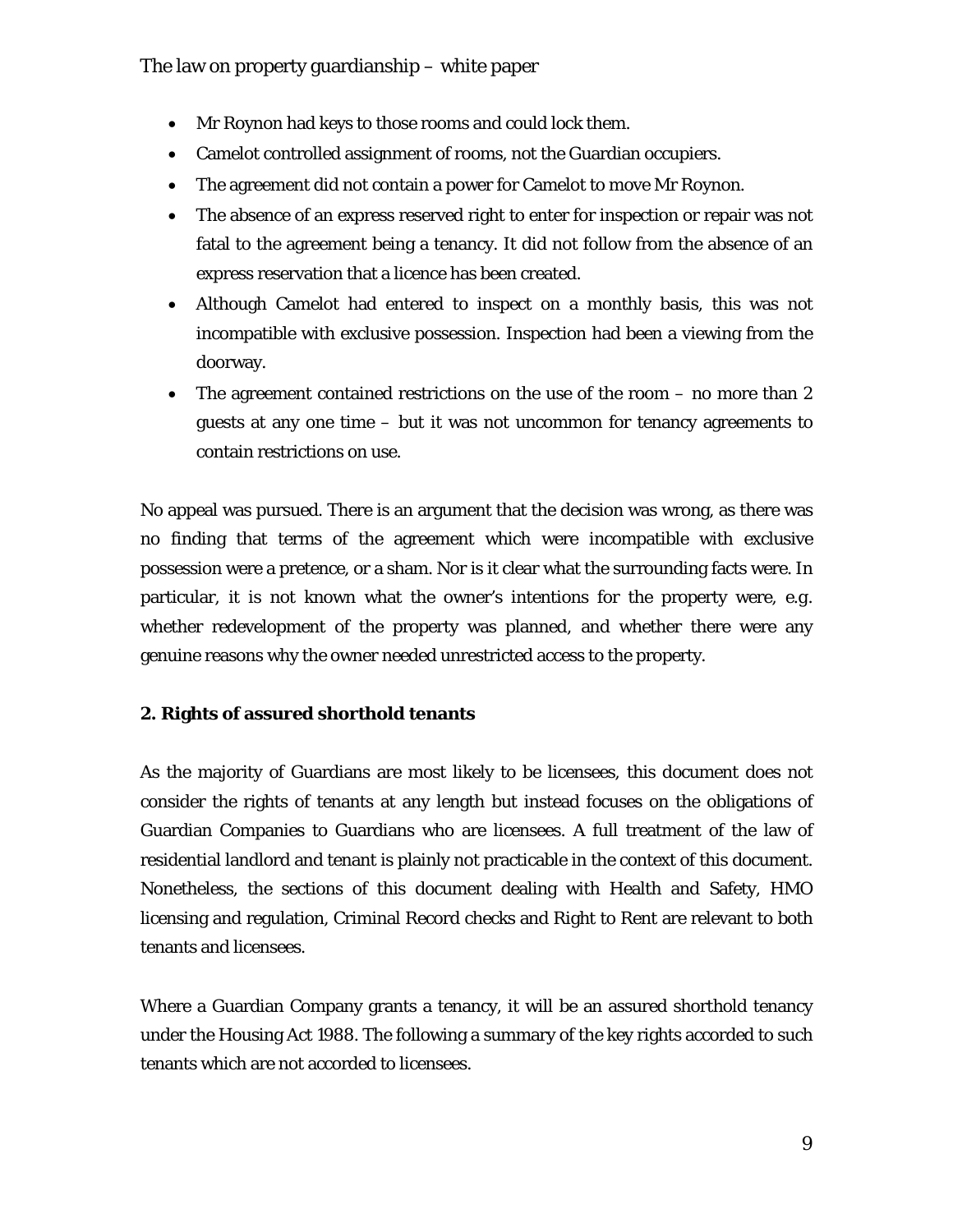- Mr Roynon had keys to those rooms and could lock them.
- Camelot controlled assignment of rooms, not the Guardian occupiers.
- The agreement did not contain a power for Camelot to move Mr Roynon.
- The absence of an express reserved right to enter for inspection or repair was not fatal to the agreement being a tenancy. It did not follow from the absence of an express reservation that a licence has been created.
- Although Camelot had entered to inspect on a monthly basis, this was not incompatible with exclusive possession. Inspection had been a viewing from the doorway.
- The agreement contained restrictions on the use of the room no more than 2 guests at any one time – but it was not uncommon for tenancy agreements to contain restrictions on use.

No appeal was pursued. There is an argument that the decision was wrong, as there was no finding that terms of the agreement which were incompatible with exclusive possession were a pretence, or a sham. Nor is it clear what the surrounding facts were. In particular, it is not known what the owner's intentions for the property were, *e.g.*  whether redevelopment of the property was planned, and whether there were any genuine reasons why the owner needed unrestricted access to the property.

## **2. Rights of assured shorthold tenants**

As the majority of Guardians are most likely to be licensees, this document does not consider the rights of tenants at any length but instead focuses on the obligations of Guardian Companies to Guardians who are licensees. A full treatment of the law of residential landlord and tenant is plainly not practicable in the context of this document. Nonetheless, the sections of this document dealing with Health and Safety, HMO licensing and regulation, Criminal Record checks and Right to Rent are relevant to both tenants and licensees.

Where a Guardian Company grants a tenancy, it will be an assured shorthold tenancy under the Housing Act 1988. The following a summary of the key rights accorded to such tenants which are not accorded to licensees.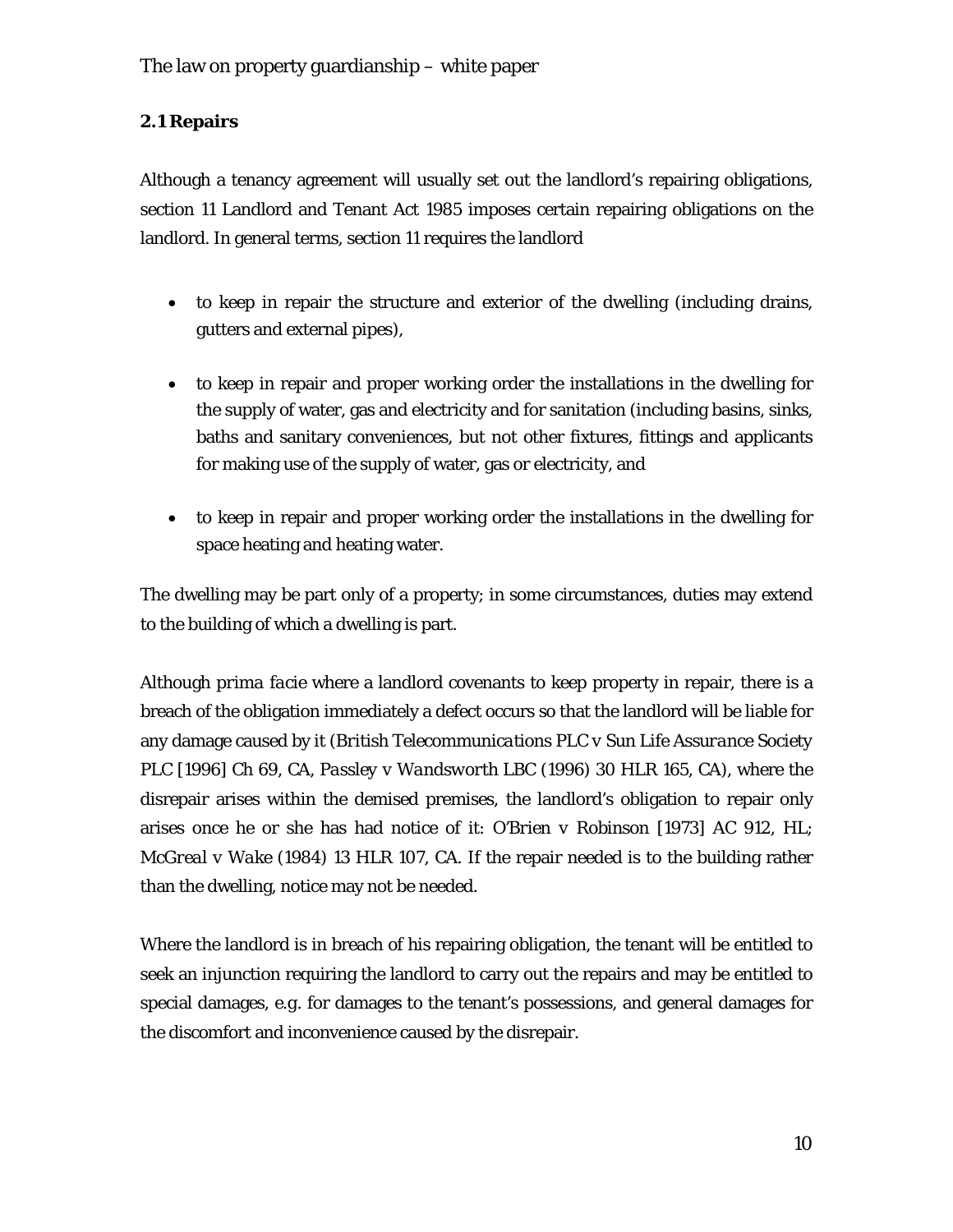## **2.1 Repairs**

Although a tenancy agreement will usually set out the landlord's repairing obligations, section 11 Landlord and Tenant Act 1985 imposes certain repairing obligations on the landlord. In general terms, section 11 requires the landlord

- to keep in repair the structure and exterior of the dwelling (including drains, gutters and external pipes),
- to keep in repair and proper working order the installations in the dwelling for the supply of water, gas and electricity and for sanitation (including basins, sinks, baths and sanitary conveniences, but not other fixtures, fittings and applicants for making use of the supply of water, gas or electricity, and
- to keep in repair and proper working order the installations in the dwelling for space heating and heating water.

The dwelling may be part only of a property; in some circumstances, duties may extend to the building of which a dwelling is part.

Although *prima facie* where a landlord covenants to keep property in repair, there is a breach of the obligation immediately a defect occurs so that the landlord will be liable for any damage caused by it (*British Telecommunications PLC v Sun Life Assurance Society PLC* [1996] Ch 69, CA, *Passley v Wandsworth LBC* (1996) 30 HLR 165, CA), where the disrepair arises within the demised premises, the landlord's obligation to repair only arises once he or she has had notice of it: *O'Brien v Robinson* [1973] AC 912, HL; *McGreal v Wake* (1984) 13 HLR 107, CA. If the repair needed is to the building rather than the dwelling, notice may not be needed.

Where the landlord is in breach of his repairing obligation, the tenant will be entitled to seek an injunction requiring the landlord to carry out the repairs and may be entitled to special damages, *e.g.* for damages to the tenant's possessions, and general damages for the discomfort and inconvenience caused by the disrepair.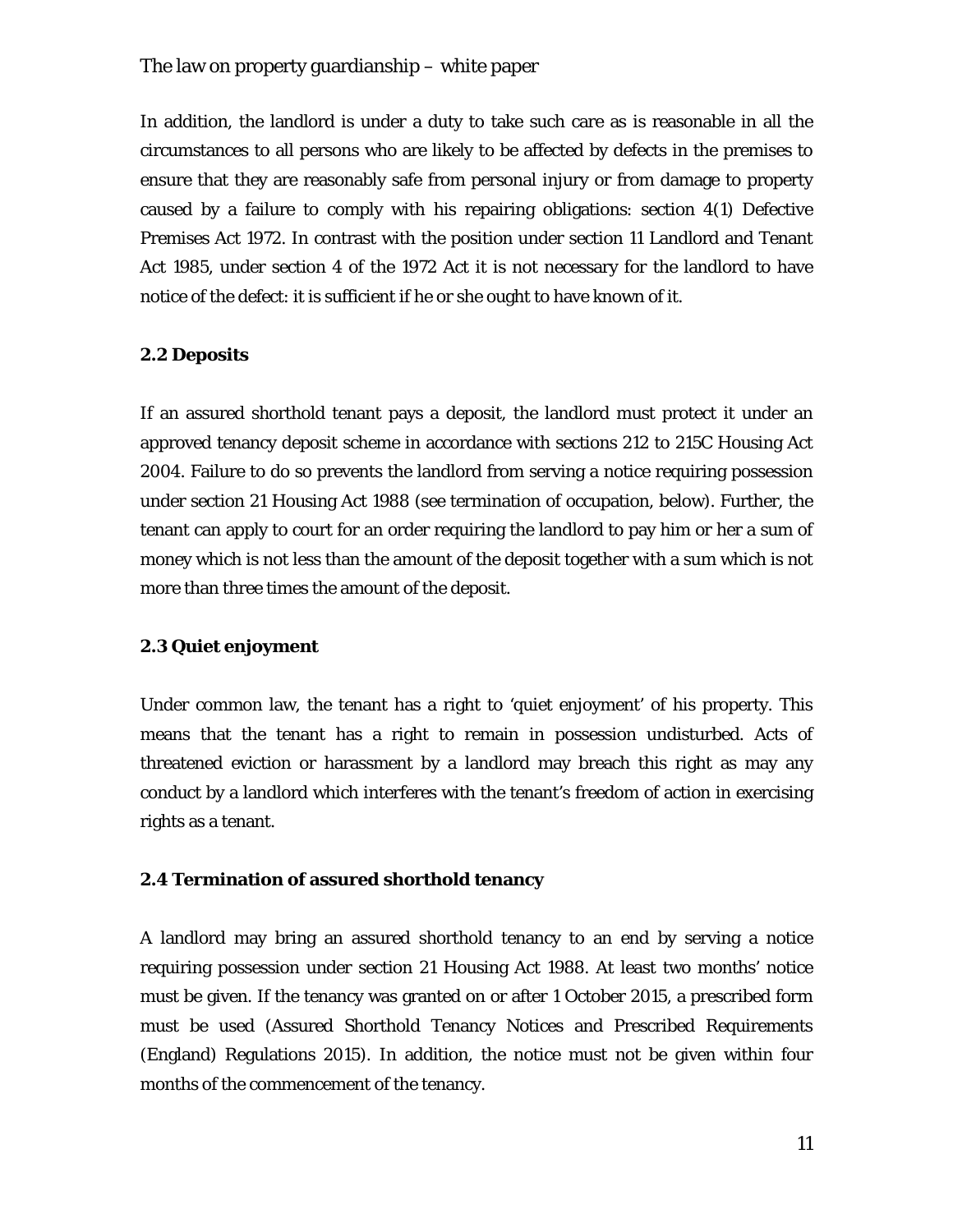In addition, the landlord is under a duty to take such care as is reasonable in all the circumstances to all persons who are likely to be affected by defects in the premises to ensure that they are reasonably safe from personal injury or from damage to property caused by a failure to comply with his repairing obligations: section 4(1) Defective Premises Act 1972. In contrast with the position under section 11 Landlord and Tenant Act 1985, under section 4 of the 1972 Act it is not necessary for the landlord to have notice of the defect: it is sufficient if he or she ought to have known of it.

#### **2.2 Deposits**

If an assured shorthold tenant pays a deposit, the landlord must protect it under an approved tenancy deposit scheme in accordance with sections 212 to 215C Housing Act 2004. Failure to do so prevents the landlord from serving a notice requiring possession under section 21 Housing Act 1988 (see termination of occupation, below). Further, the tenant can apply to court for an order requiring the landlord to pay him or her a sum of money which is not less than the amount of the deposit together with a sum which is not more than three times the amount of the deposit.

#### **2.3 Quiet enjoyment**

Under common law, the tenant has a right to 'quiet enjoyment' of his property. This means that the tenant has a right to remain in possession undisturbed. Acts of threatened eviction or harassment by a landlord may breach this right as may any conduct by a landlord which interferes with the tenant's freedom of action in exercising rights as a tenant.

#### **2.4 Termination of assured shorthold tenancy**

A landlord may bring an assured shorthold tenancy to an end by serving a notice requiring possession under section 21 Housing Act 1988. At least two months' notice must be given. If the tenancy was granted on or after 1 October 2015, a prescribed form must be used (Assured Shorthold Tenancy Notices and Prescribed Requirements (England) Regulations 2015). In addition, the notice must not be given within four months of the commencement of the tenancy.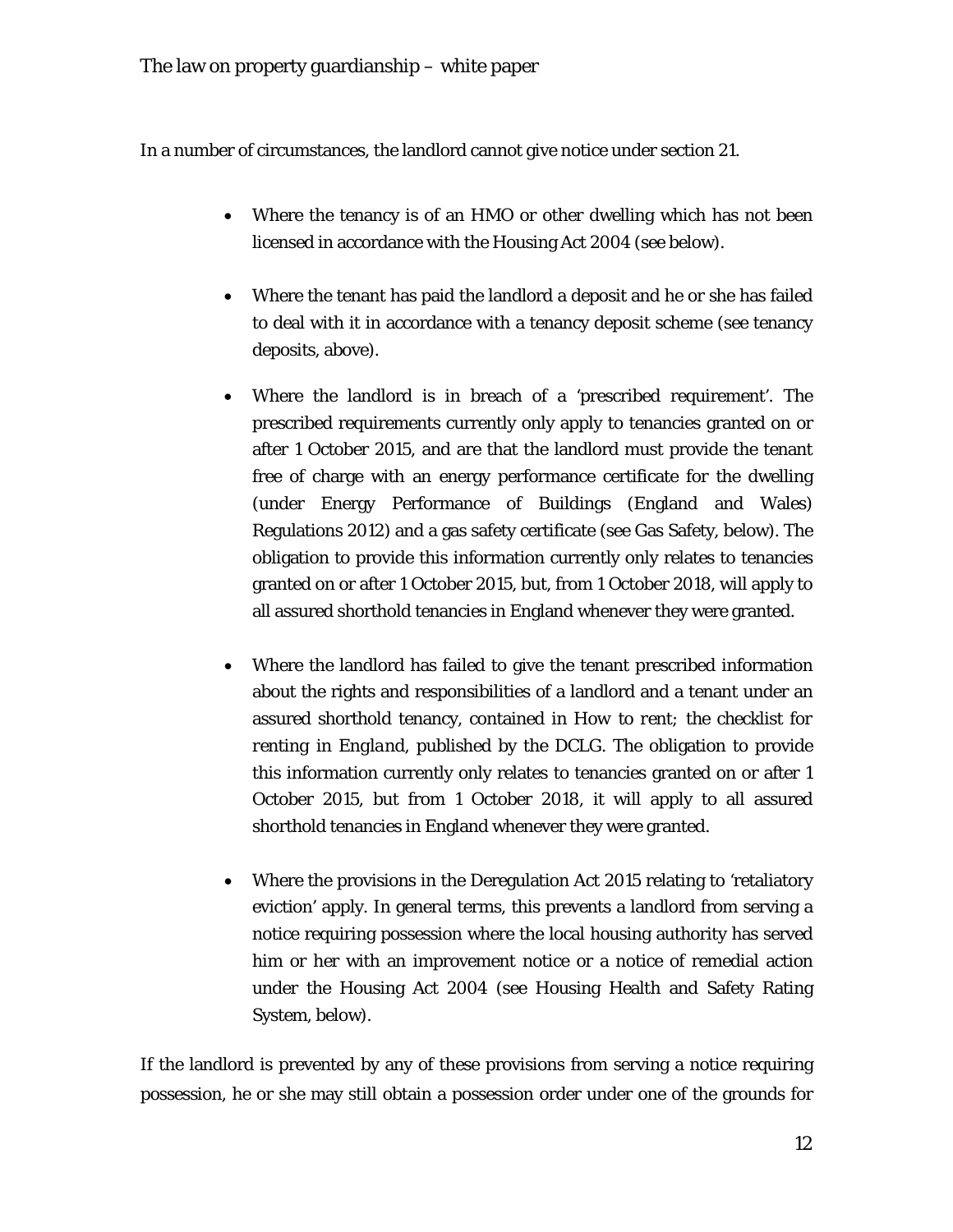In a number of circumstances, the landlord cannot give notice under section 21.

- Where the tenancy is of an HMO or other dwelling which has not been licensed in accordance with the Housing Act 2004 (see below).
- Where the tenant has paid the landlord a deposit and he or she has failed to deal with it in accordance with a tenancy deposit scheme (see tenancy deposits, above).
- Where the landlord is in breach of a 'prescribed requirement'. The prescribed requirements currently only apply to tenancies granted on or after 1 October 2015, and are that the landlord must provide the tenant free of charge with an energy performance certificate for the dwelling (under Energy Performance of Buildings (England and Wales) Regulations 2012) and a gas safety certificate (see Gas Safety, below). The obligation to provide this information currently only relates to tenancies granted on or after 1 October 2015, but, from 1 October 2018, will apply to all assured shorthold tenancies in England whenever they were granted.
- Where the landlord has failed to give the tenant prescribed information about the rights and responsibilities of a landlord and a tenant under an assured shorthold tenancy, contained in *How to rent; the checklist for renting in England*, published by the DCLG. The obligation to provide this information currently only relates to tenancies granted on or after 1 October 2015, but from 1 October 2018, it will apply to all assured shorthold tenancies in England whenever they were granted.
- Where the provisions in the Deregulation Act 2015 relating to 'retaliatory eviction' apply. In general terms, this prevents a landlord from serving a notice requiring possession where the local housing authority has served him or her with an improvement notice or a notice of remedial action under the Housing Act 2004 (see Housing Health and Safety Rating System, below).

If the landlord is prevented by any of these provisions from serving a notice requiring possession, he or she may still obtain a possession order under one of the grounds for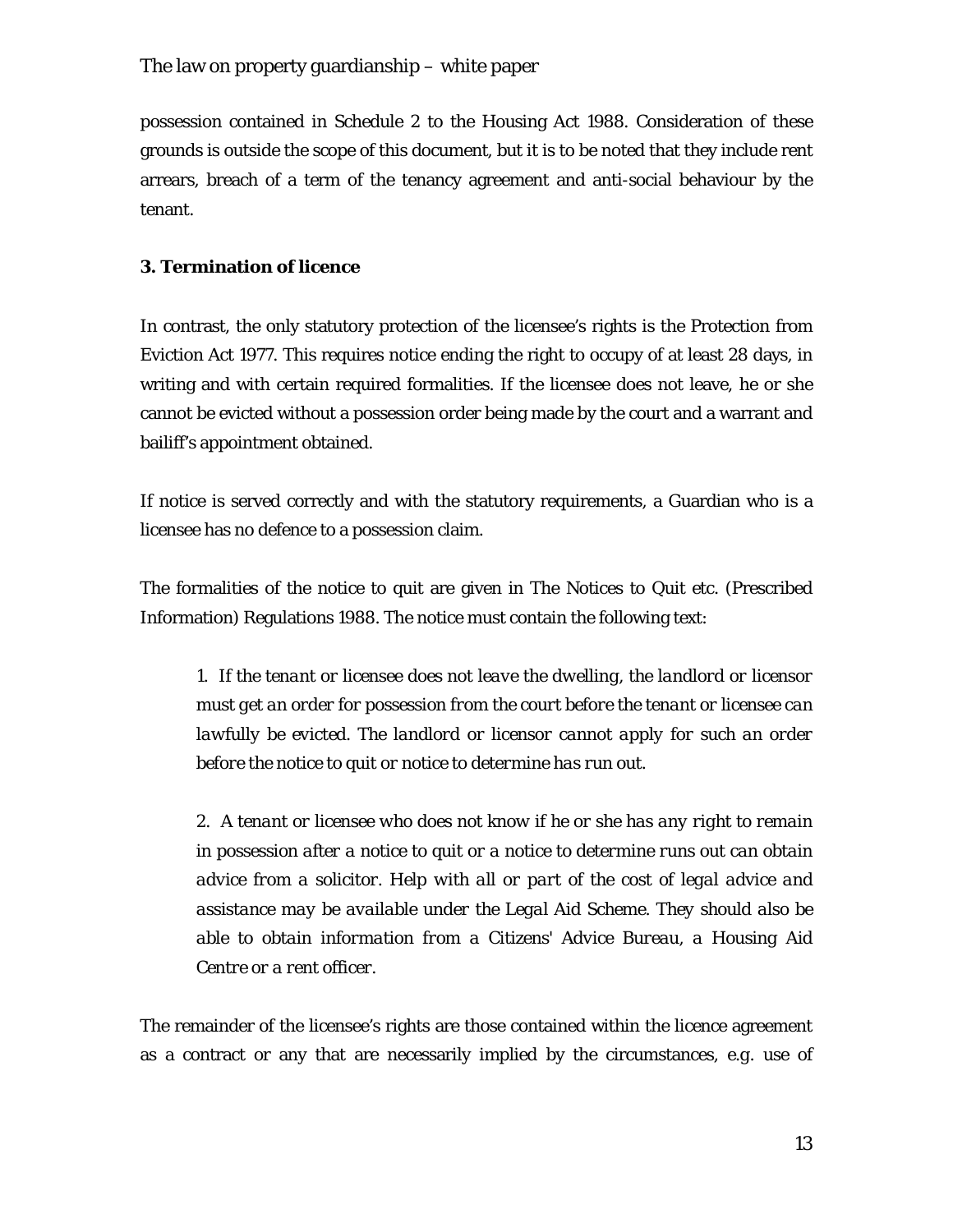possession contained in Schedule 2 to the Housing Act 1988. Consideration of these grounds is outside the scope of this document, but it is to be noted that they include rent arrears, breach of a term of the tenancy agreement and anti-social behaviour by the tenant.

## **3. Termination of licence**

In contrast, the only statutory protection of the licensee's rights is the Protection from Eviction Act 1977. This requires notice ending the right to occupy of at least 28 days, in writing and with certain required formalities. If the licensee does not leave, he or she cannot be evicted without a possession order being made by the court and a warrant and bailiff's appointment obtained.

If notice is served correctly and with the statutory requirements, a Guardian who is a licensee has no defence to a possession claim.

The formalities of the notice to quit are given in The Notices to Quit etc. (Prescribed Information) Regulations 1988. The notice must contain the following text:

*1. If the tenant or licensee does not leave the dwelling, the landlord or licensor must get an order for possession from the court before the tenant or licensee can lawfully be evicted. The landlord or licensor cannot apply for such an order before the notice to quit or notice to determine has run out.*

*2. A tenant or licensee who does not know if he or she has any right to remain in possession after a notice to quit or a notice to determine runs out can obtain advice from a solicitor. Help with all or part of the cost of legal advice and assistance may be available under the Legal Aid Scheme. They should also be able to obtain information from a Citizens' Advice Bureau, a Housing Aid Centre or a rent officer.*

The remainder of the licensee's rights are those contained within the licence agreement as a contract or any that are necessarily implied by the circumstances, *e.g.* use of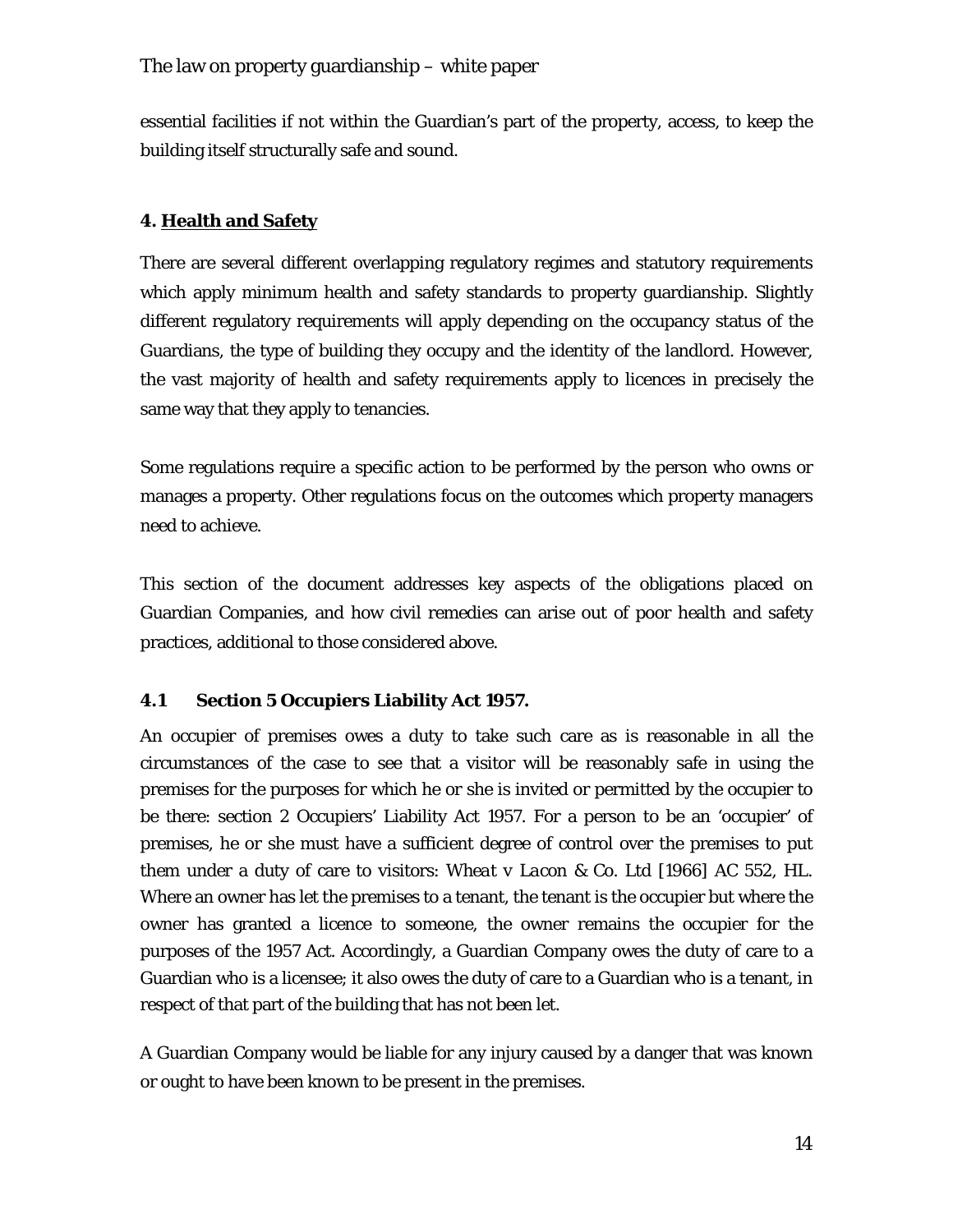essential facilities if not within the Guardian's part of the property, access, to keep the building itself structurally safe and sound.

## **4. Health and Safety**

There are several different overlapping regulatory regimes and statutory requirements which apply minimum health and safety standards to property guardianship. Slightly different regulatory requirements will apply depending on the occupancy status of the Guardians, the type of building they occupy and the identity of the landlord. However, the vast majority of health and safety requirements apply to licences in precisely the same way that they apply to tenancies.

Some regulations require a specific action to be performed by the person who owns or manages a property. Other regulations focus on the outcomes which property managers need to achieve.

This section of the document addresses key aspects of the obligations placed on Guardian Companies, and how civil remedies can arise out of poor health and safety practices, additional to those considered above.

#### **4.1 Section 5 Occupiers Liability Act 1957.**

An occupier of premises owes a duty to take such care as is reasonable in all the circumstances of the case to see that a visitor will be reasonably safe in using the premises for the purposes for which he or she is invited or permitted by the occupier to be there: section 2 Occupiers' Liability Act 1957. For a person to be an 'occupier' of premises, he or she must have a sufficient degree of control over the premises to put them under a duty of care to visitors: *Wheat v Lacon & Co. Ltd* [1966] AC 552, HL. Where an owner has let the premises to a tenant, the tenant is the occupier but where the owner has granted a licence to someone, the owner remains the occupier for the purposes of the 1957 Act. Accordingly, a Guardian Company owes the duty of care to a Guardian who is a licensee; it also owes the duty of care to a Guardian who is a tenant, in respect of that part of the building that has not been let.

A Guardian Company would be liable for any injury caused by a danger that was known or ought to have been known to be present in the premises.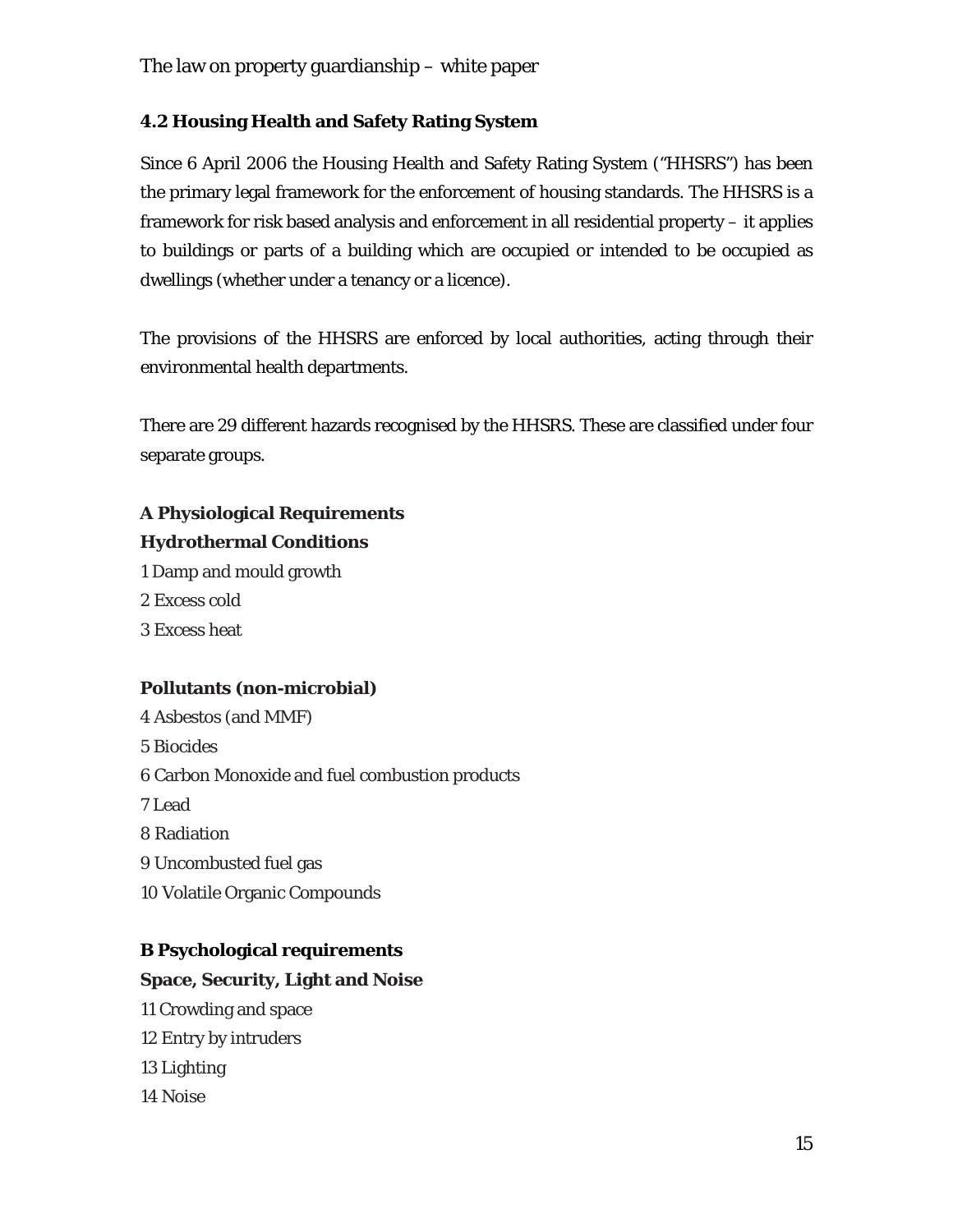## **4.2 Housing Health and Safety Rating System**

Since 6 April 2006 the Housing Health and Safety Rating System ("HHSRS") has been the primary legal framework for the enforcement of housing standards. The HHSRS is a framework for risk based analysis and enforcement in all residential property – it applies to buildings or parts of a building which are occupied or intended to be occupied as dwellings (whether under a tenancy or a licence).

The provisions of the HHSRS are enforced by local authorities, acting through their environmental health departments.

There are 29 different hazards recognised by the HHSRS. These are classified under four separate groups.

## **A Physiological Requirements Hydrothermal Conditions**

- 1 Damp and mould growth
- 2 Excess cold
- 3 Excess heat

## **Pollutants (non-microbial)**

4 Asbestos (and MMF) 5 Biocides 6 Carbon Monoxide and fuel combustion products 7 Lead 8 Radiation 9 Uncombusted fuel gas 10 Volatile Organic Compounds

## **B Psychological requirements**

## **Space, Security, Light and Noise**

11 Crowding and space 12 Entry by intruders 13 Lighting 14 Noise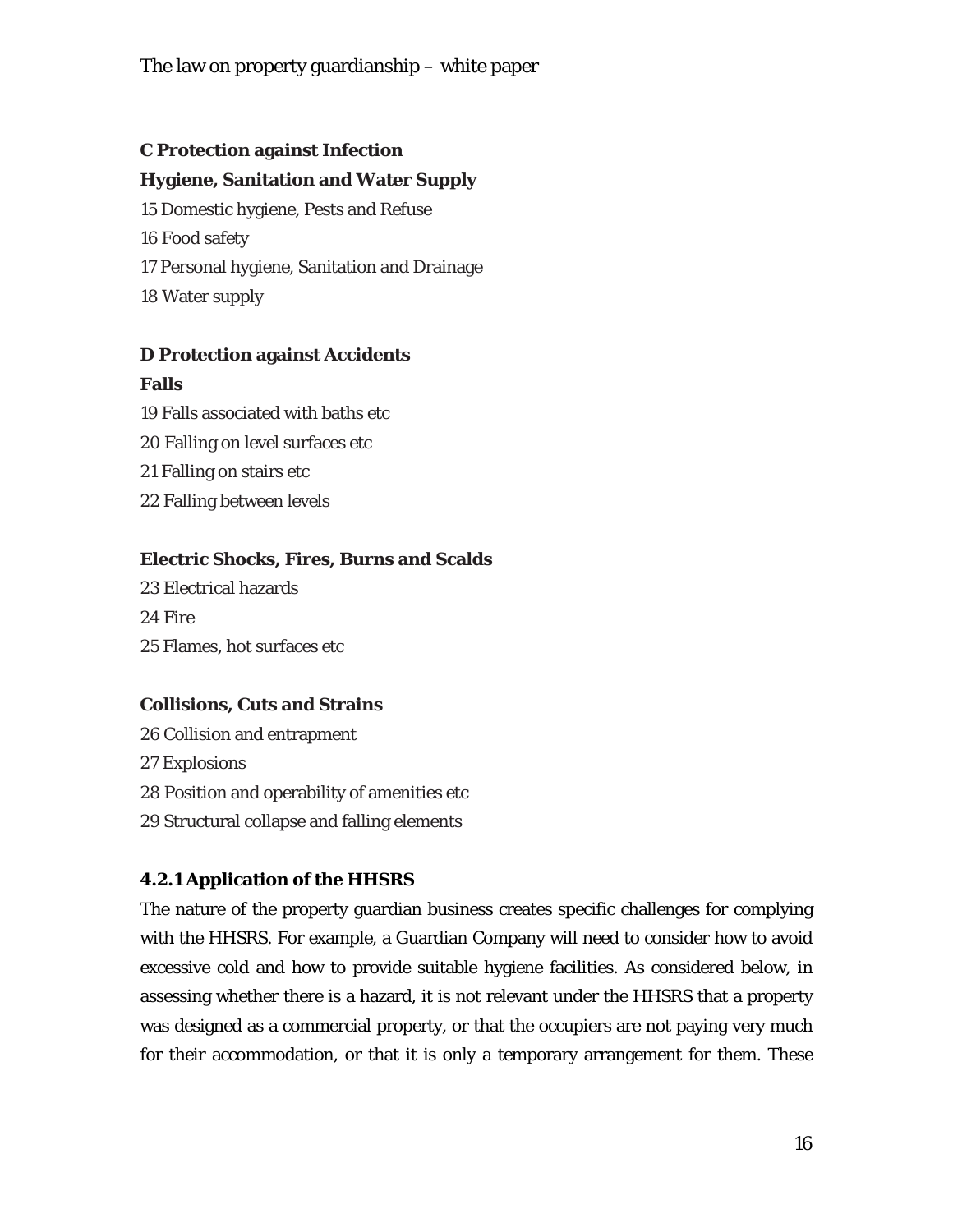## **C Protection against Infection**

## **Hygiene, Sanitation and Water Supply**

15 Domestic hygiene, Pests and Refuse 16 Food safety 17 Personal hygiene, Sanitation and Drainage 18 Water supply

## **D Protection against Accidents**

## **Falls**

19 Falls associated with baths etc 20 Falling on level surfaces etc 21 Falling on stairs etc 22 Falling between levels

## **Electric Shocks, Fires, Burns and Scalds**

23 Electrical hazards 24 Fire 25 Flames, hot surfaces etc

## **Collisions, Cuts and Strains**

26 Collision and entrapment 27 Explosions 28 Position and operability of amenities etc 29 Structural collapse and falling elements

## **4.2.1 Application of the HHSRS**

The nature of the property guardian business creates specific challenges for complying with the HHSRS. For example, a Guardian Company will need to consider how to avoid excessive cold and how to provide suitable hygiene facilities. As considered below, in assessing whether there is a hazard, it is not relevant under the HHSRS that a property was designed as a commercial property, or that the occupiers are not paying very much for their accommodation, or that it is only a temporary arrangement for them. These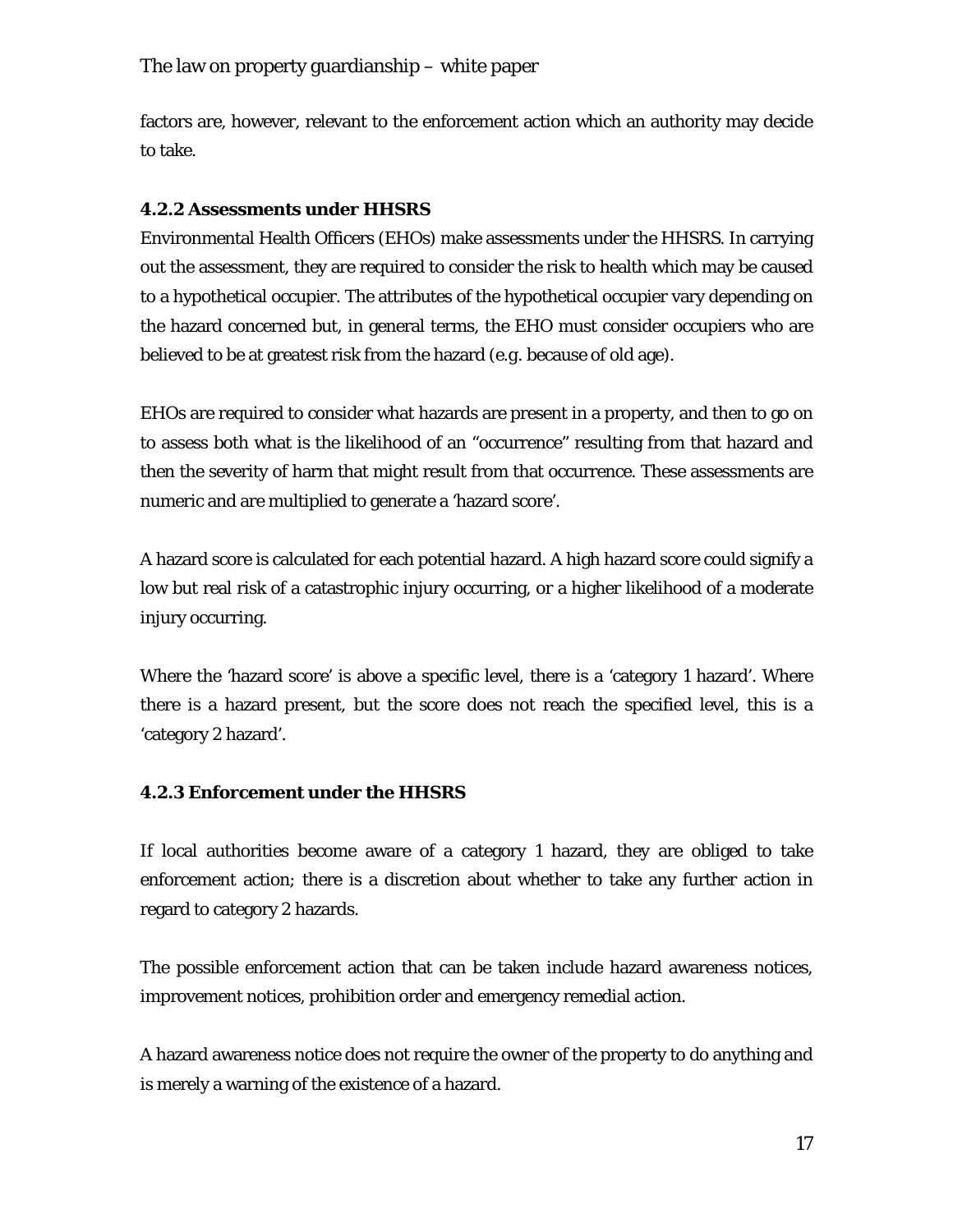factors are, however, relevant to the enforcement action which an authority may decide to take.

## **4.2.2 Assessments under HHSRS**

Environmental Health Officers (EHOs) make assessments under the HHSRS. In carrying out the assessment, they are required to consider the risk to health which may be caused to a hypothetical occupier. The attributes of the hypothetical occupier vary depending on the hazard concerned but, in general terms, the EHO must consider occupiers who are believed to be at greatest risk from the hazard (*e.g.* because of old age).

EHOs are required to consider what hazards are present in a property, and then to go on to assess both what is the likelihood of an "occurrence" resulting from that hazard and then the severity of harm that might result from that occurrence. These assessments are numeric and are multiplied to generate a 'hazard score'.

A hazard score is calculated for each potential hazard. A high hazard score could signify a low but real risk of a catastrophic injury occurring, or a higher likelihood of a moderate injury occurring.

Where the 'hazard score' is above a specific level, there is a 'category 1 hazard'. Where there is a hazard present, but the score does not reach the specified level, this is a 'category 2 hazard'.

## **4.2.3 Enforcement under the HHSRS**

If local authorities become aware of a category 1 hazard, they are obliged to take enforcement action; there is a discretion about whether to take any further action in regard to category 2 hazards.

The possible enforcement action that can be taken include hazard awareness notices, improvement notices, prohibition order and emergency remedial action.

A hazard awareness notice does not require the owner of the property to do anything and is merely a warning of the existence of a hazard.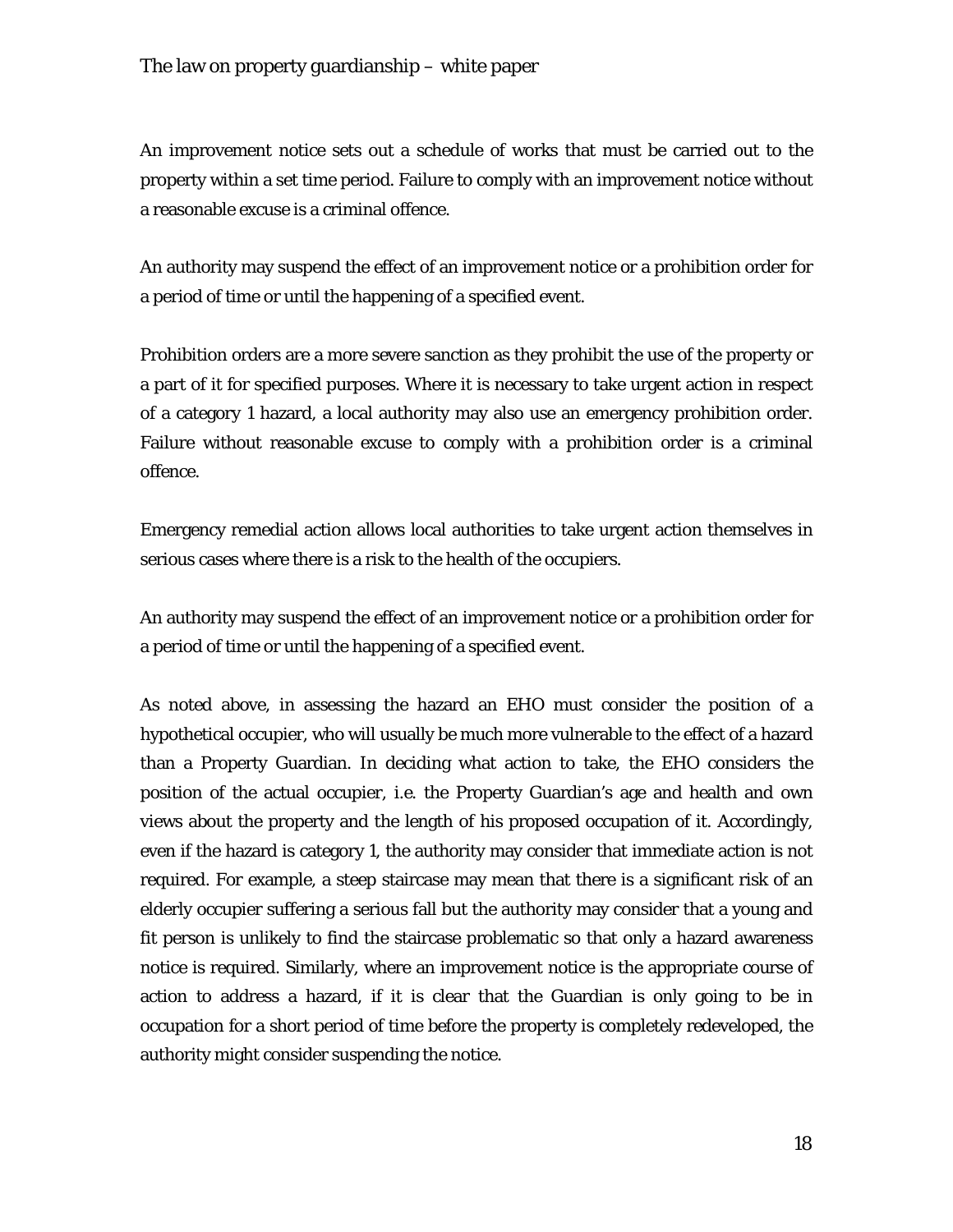An improvement notice sets out a schedule of works that must be carried out to the property within a set time period. Failure to comply with an improvement notice without a reasonable excuse is a criminal offence.

An authority may suspend the effect of an improvement notice or a prohibition order for a period of time or until the happening of a specified event.

Prohibition orders are a more severe sanction as they prohibit the use of the property or a part of it for specified purposes. Where it is necessary to take urgent action in respect of a category 1 hazard, a local authority may also use an emergency prohibition order. Failure without reasonable excuse to comply with a prohibition order is a criminal offence.

Emergency remedial action allows local authorities to take urgent action themselves in serious cases where there is a risk to the health of the occupiers.

An authority may suspend the effect of an improvement notice or a prohibition order for a period of time or until the happening of a specified event.

As noted above, in assessing the hazard an EHO must consider the position of a hypothetical occupier, who will usually be much more vulnerable to the effect of a hazard than a Property Guardian. In deciding what action to take, the EHO considers the position of the actual occupier, *i.e.* the Property Guardian's age and health and own views about the property and the length of his proposed occupation of it. Accordingly, even if the hazard is category 1, the authority may consider that immediate action is not required. For example, a steep staircase may mean that there is a significant risk of an elderly occupier suffering a serious fall but the authority may consider that a young and fit person is unlikely to find the staircase problematic so that only a hazard awareness notice is required. Similarly, where an improvement notice is the appropriate course of action to address a hazard, if it is clear that the Guardian is only going to be in occupation for a short period of time before the property is completely redeveloped, the authority might consider suspending the notice.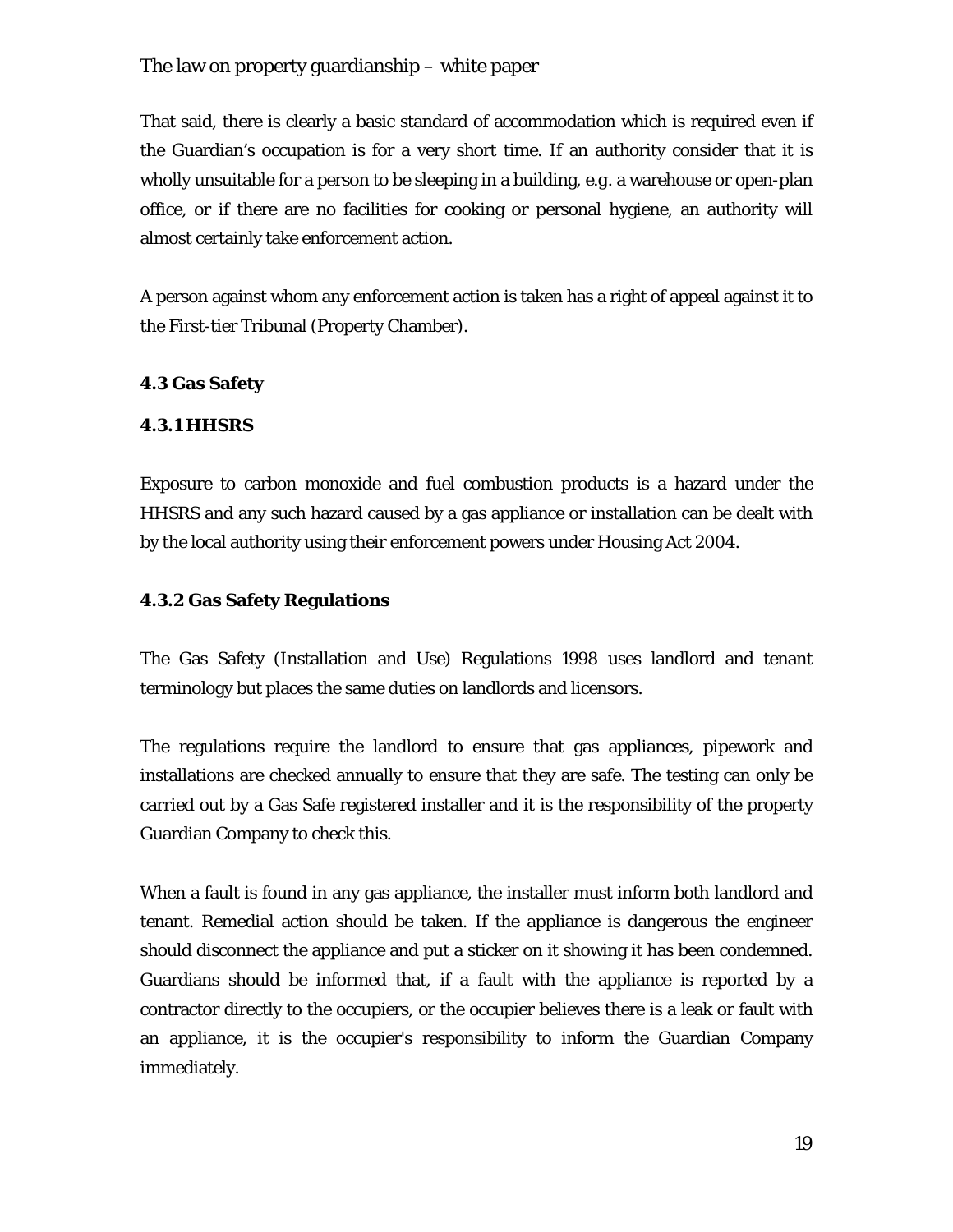That said, there is clearly a basic standard of accommodation which is required even if the Guardian's occupation is for a very short time. If an authority consider that it is wholly unsuitable for a person to be sleeping in a building, *e.g.* a warehouse or open-plan office, or if there are no facilities for cooking or personal hygiene, an authority will almost certainly take enforcement action.

A person against whom any enforcement action is taken has a right of appeal against it to the First-tier Tribunal (Property Chamber).

#### **4.3 Gas Safety**

#### **4.3.1 HHSRS**

Exposure to carbon monoxide and fuel combustion products is a hazard under the HHSRS and any such hazard caused by a gas appliance or installation can be dealt with by the local authority using their enforcement powers under Housing Act 2004.

#### **4.3.2 Gas Safety Regulations**

The Gas Safety (Installation and Use) Regulations 1998 uses landlord and tenant terminology but places the same duties on landlords and licensors.

The regulations require the landlord to ensure that gas appliances, pipework and installations are checked annually to ensure that they are safe. The testing can only be carried out by a Gas Safe registered installer and it is the responsibility of the property Guardian Company to check this.

When a fault is found in any gas appliance, the installer must inform both landlord and tenant. Remedial action should be taken. If the appliance is dangerous the engineer should disconnect the appliance and put a sticker on it showing it has been condemned. Guardians should be informed that, if a fault with the appliance is reported by a contractor directly to the occupiers, or the occupier believes there is a leak or fault with an appliance, it is the occupier's responsibility to inform the Guardian Company immediately.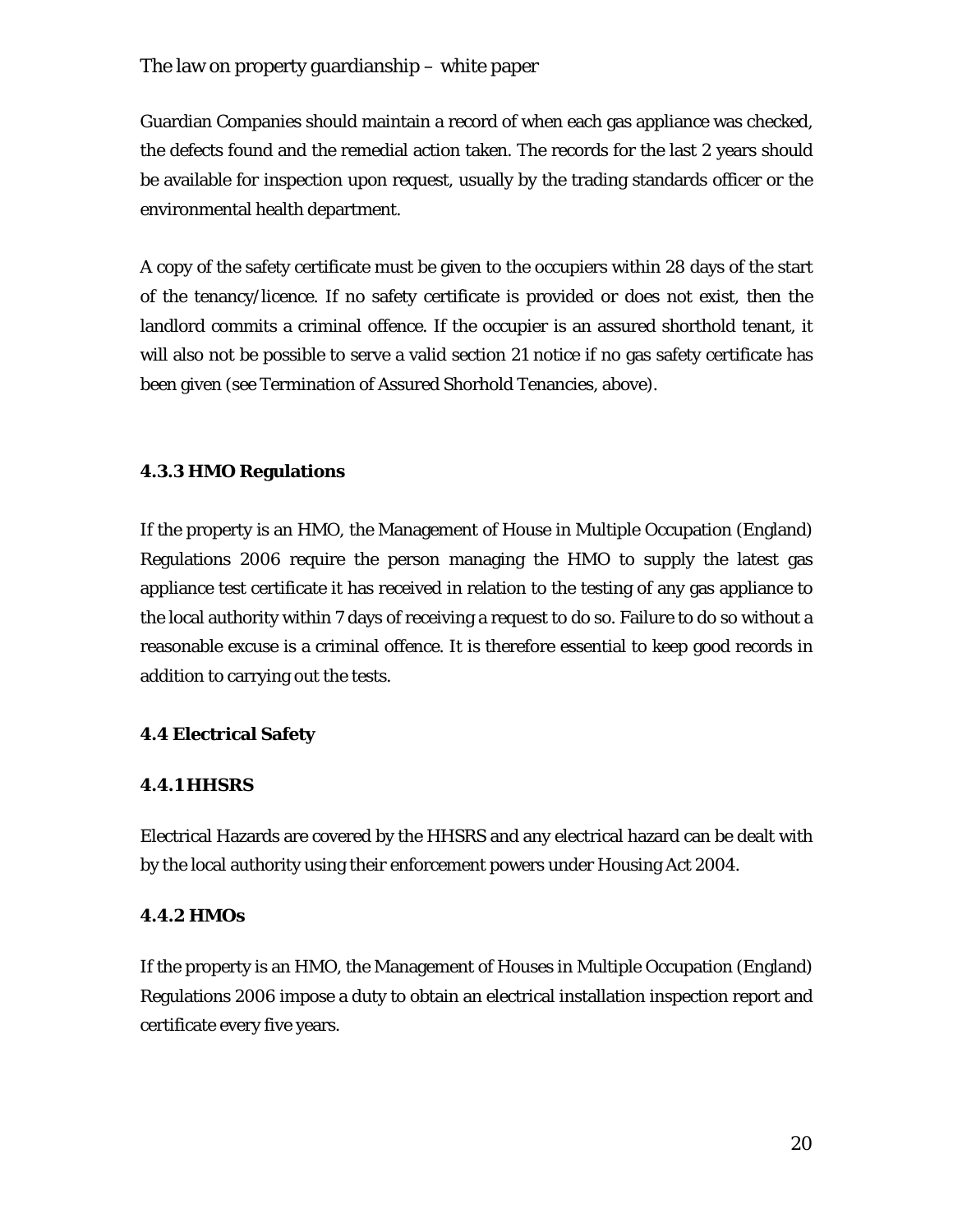Guardian Companies should maintain a record of when each gas appliance was checked, the defects found and the remedial action taken. The records for the last 2 years should be available for inspection upon request, usually by the trading standards officer or the environmental health department.

A copy of the safety certificate must be given to the occupiers within 28 days of the start of the tenancy/licence. If no safety certificate is provided or does not exist, then the landlord commits a criminal offence. If the occupier is an assured shorthold tenant, it will also not be possible to serve a valid section 21 notice if no gas safety certificate has been given (see Termination of Assured Shorhold Tenancies, above).

#### **4.3.3 HMO Regulations**

If the property is an HMO, the Management of House in Multiple Occupation (England) Regulations 2006 require the person managing the HMO to supply the latest gas appliance test certificate it has received in relation to the testing of any gas appliance to the local authority within 7 days of receiving a request to do so. Failure to do so without a reasonable excuse is a criminal offence. It is therefore essential to keep good records in addition to carrying out the tests.

#### **4.4 Electrical Safety**

#### **4.4.1 HHSRS**

Electrical Hazards are covered by the HHSRS and any electrical hazard can be dealt with by the local authority using their enforcement powers under Housing Act 2004.

#### **4.4.2 HMOs**

If the property is an HMO, the Management of Houses in Multiple Occupation (England) Regulations 2006 impose a duty to obtain an electrical installation inspection report and certificate every five years.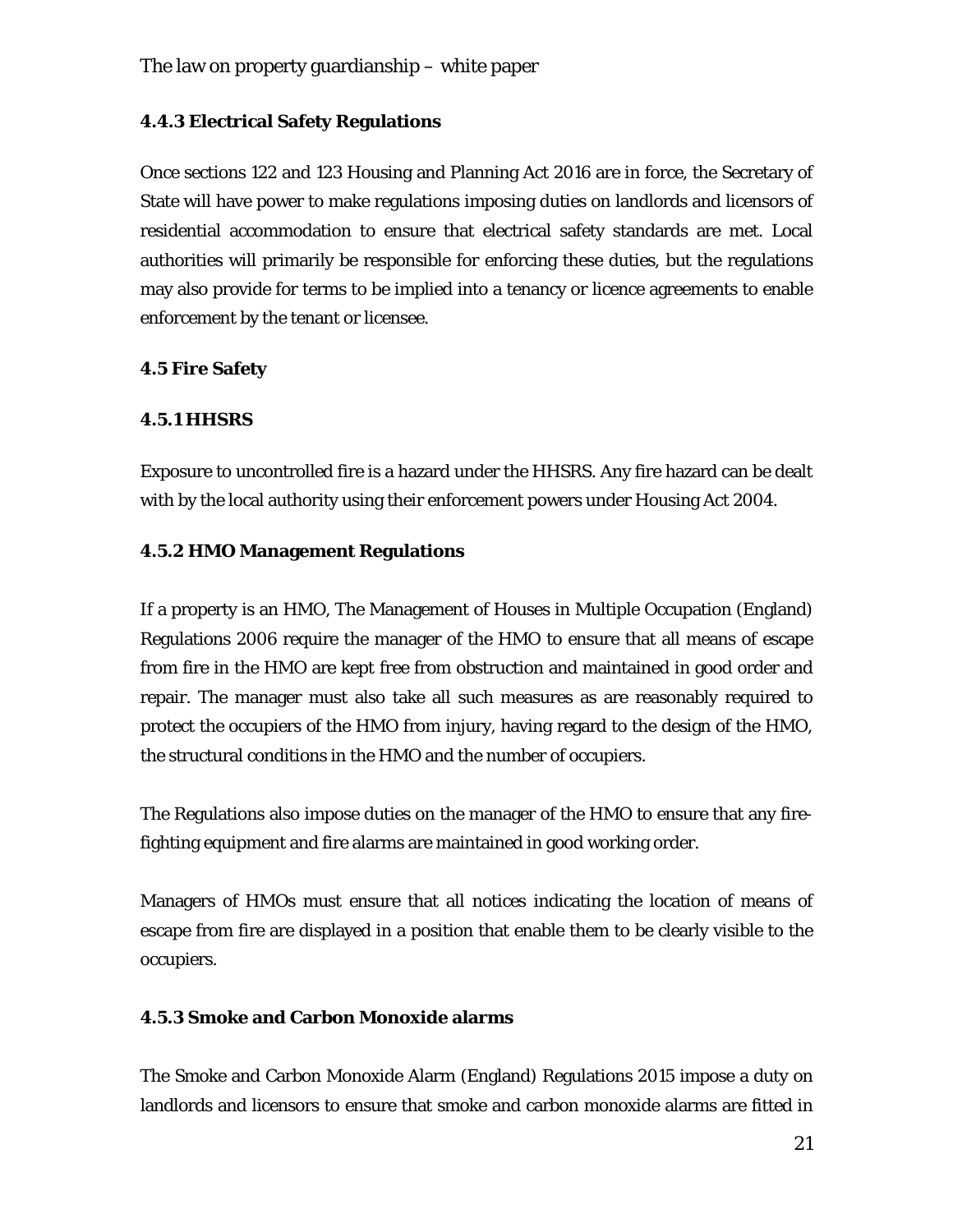#### **4.4.3 Electrical Safety Regulations**

Once sections 122 and 123 Housing and Planning Act 2016 are in force, the Secretary of State will have power to make regulations imposing duties on landlords and licensors of residential accommodation to ensure that electrical safety standards are met. Local authorities will primarily be responsible for enforcing these duties, but the regulations may also provide for terms to be implied into a tenancy or licence agreements to enable enforcement by the tenant or licensee.

#### **4.5 Fire Safety**

#### **4.5.1 HHSRS**

Exposure to uncontrolled fire is a hazard under the HHSRS. Any fire hazard can be dealt with by the local authority using their enforcement powers under Housing Act 2004.

#### **4.5.2 HMO Management Regulations**

If a property is an HMO, The Management of Houses in Multiple Occupation (England) Regulations 2006 require the manager of the HMO to ensure that all means of escape from fire in the HMO are kept free from obstruction and maintained in good order and repair. The manager must also take all such measures as are reasonably required to protect the occupiers of the HMO from injury, having regard to the design of the HMO, the structural conditions in the HMO and the number of occupiers.

The Regulations also impose duties on the manager of the HMO to ensure that any firefighting equipment and fire alarms are maintained in good working order.

Managers of HMOs must ensure that all notices indicating the location of means of escape from fire are displayed in a position that enable them to be clearly visible to the occupiers.

#### **4.5.3 Smoke and Carbon Monoxide alarms**

The Smoke and Carbon Monoxide Alarm (England) Regulations 2015 impose a duty on landlords and licensors to ensure that smoke and carbon monoxide alarms are fitted in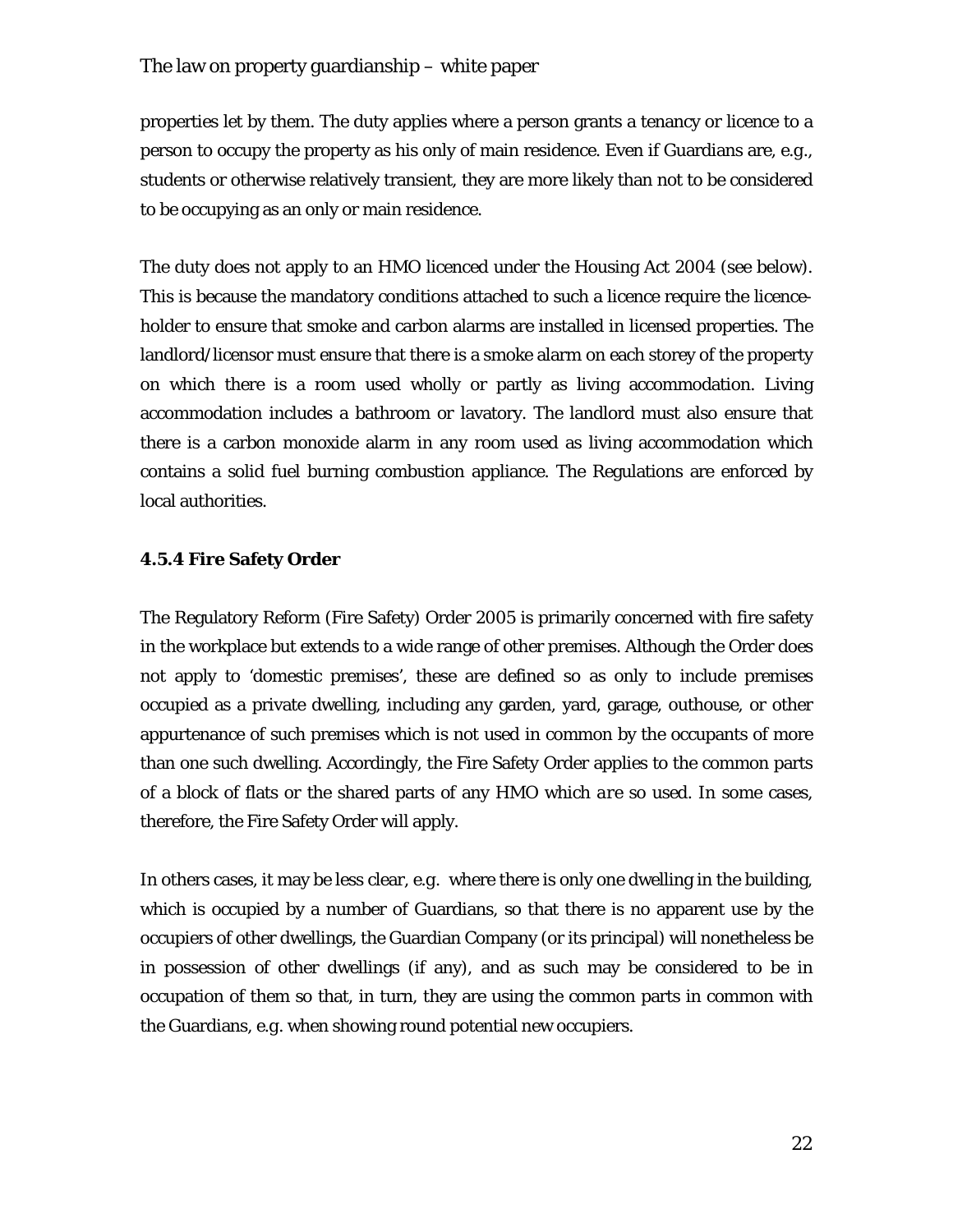properties let by them. The duty applies where a person grants a tenancy or licence to a person to occupy the property as his only of main residence. Even if Guardians are, *e.g.*, students or otherwise relatively transient, they are more likely than not to be considered to be occupying as an only or main residence.

The duty does not apply to an HMO licenced under the Housing Act 2004 (see below). This is because the mandatory conditions attached to such a licence require the licenceholder to ensure that smoke and carbon alarms are installed in licensed properties. The landlord/licensor must ensure that there is a smoke alarm on each storey of the property on which there is a room used wholly or partly as living accommodation. Living accommodation includes a bathroom or lavatory. The landlord must also ensure that there is a carbon monoxide alarm in any room used as living accommodation which contains a solid fuel burning combustion appliance. The Regulations are enforced by local authorities.

#### **4.5.4 Fire Safety Order**

The Regulatory Reform (Fire Safety) Order 2005 is primarily concerned with fire safety in the workplace but extends to a wide range of other premises. Although the Order does not apply to 'domestic premises', these are defined so as only to include premises occupied as a private dwelling, including any garden, yard, garage, outhouse, or other appurtenance of such premises which is *not* used in common by the occupants of more than one such dwelling. Accordingly, the Fire Safety Order applies to the common parts of a block of flats or the shared parts of any HMO which *are* so used. In some cases, therefore, the Fire Safety Order will apply.

In others cases, it may be less clear, *e.g.* where there is only one dwelling in the building, which is occupied by a number of Guardians, so that there is no apparent use by the occupiers of other dwellings, the Guardian Company (or its principal) will nonetheless be in possession of other dwellings (if any), and as such may be considered to be in occupation of them so that, in turn, they are using the common parts in common with the Guardians, *e.g.* when showing round potential new occupiers.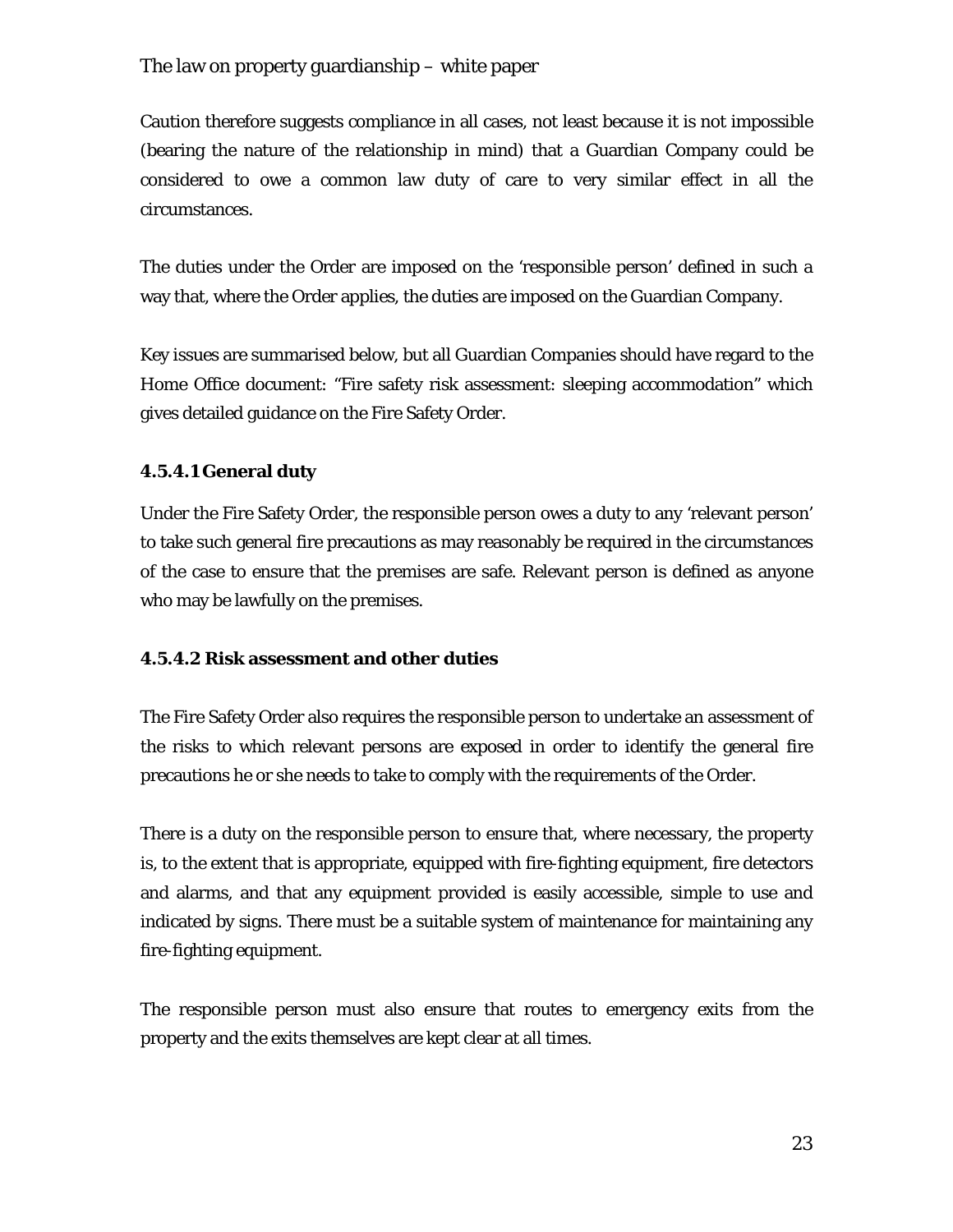Caution therefore suggests compliance in all cases, not least because it is not impossible (bearing the nature of the relationship in mind) that a Guardian Company could be considered to owe a common law duty of care to very similar effect in all the circumstances.

The duties under the Order are imposed on the 'responsible person' defined in such a way that, where the Order applies, the duties are imposed on the Guardian Company.

Key issues are summarised below, but all Guardian Companies should have regard to the Home Office document: "Fire safety risk assessment: sleeping accommodation" which gives detailed guidance on the Fire Safety Order.

#### **4.5.4.1 General duty**

Under the Fire Safety Order, the responsible person owes a duty to any 'relevant person' to take such general fire precautions as may reasonably be required in the circumstances of the case to ensure that the premises are safe. Relevant person is defined as anyone who may be lawfully on the premises.

#### **4.5.4.2 Risk assessment and other duties**

The Fire Safety Order also requires the responsible person to undertake an assessment of the risks to which relevant persons are exposed in order to identify the general fire precautions he or she needs to take to comply with the requirements of the Order.

There is a duty on the responsible person to ensure that, where necessary, the property is, to the extent that is appropriate, equipped with fire-fighting equipment, fire detectors and alarms, and that any equipment provided is easily accessible, simple to use and indicated by signs. There must be a suitable system of maintenance for maintaining any fire-fighting equipment.

The responsible person must also ensure that routes to emergency exits from the property and the exits themselves are kept clear at all times.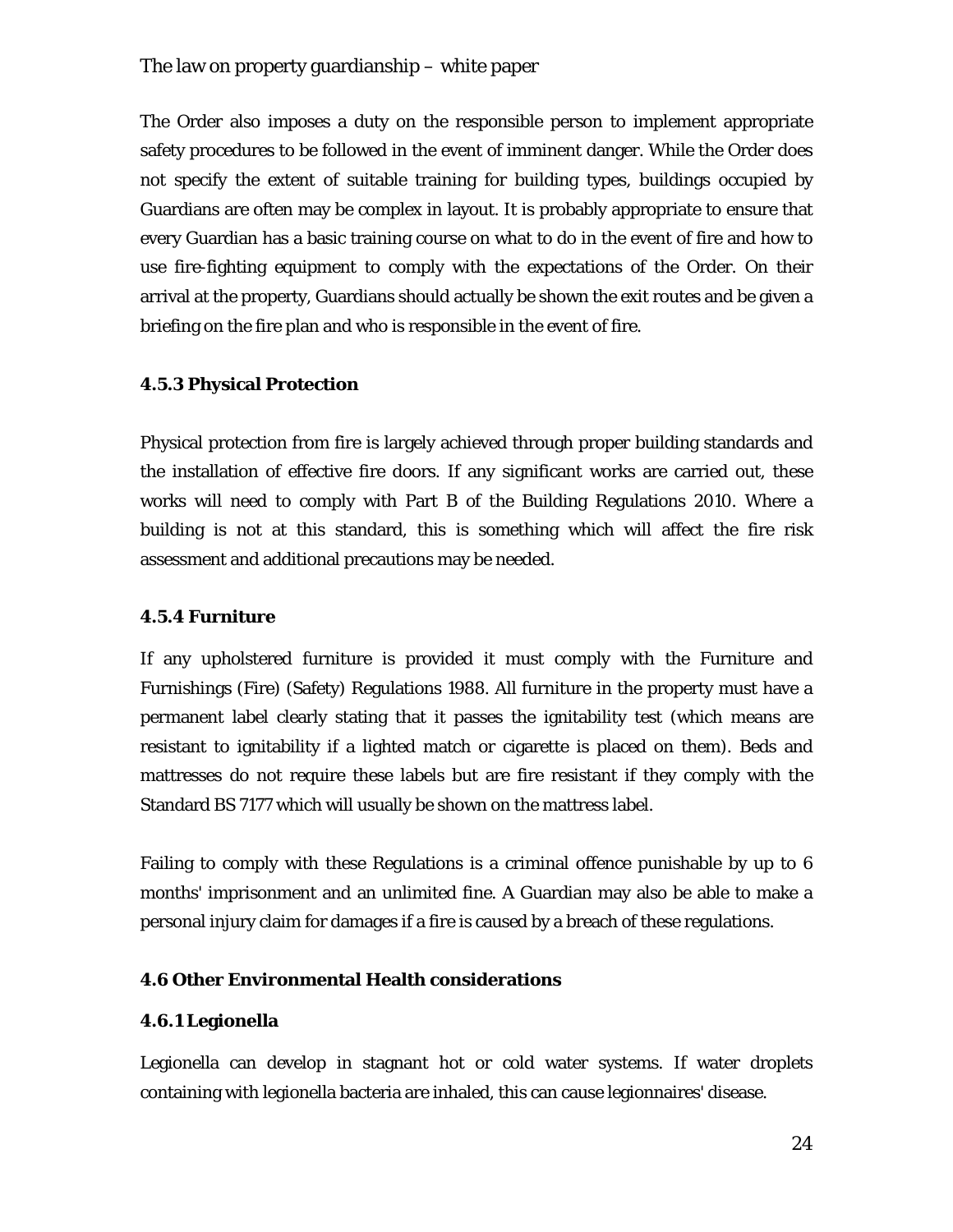The Order also imposes a duty on the responsible person to implement appropriate safety procedures to be followed in the event of imminent danger. While the Order does not specify the extent of suitable training for building types, buildings occupied by Guardians are often may be complex in layout. It is probably appropriate to ensure that every Guardian has a basic training course on what to do in the event of fire and how to use fire-fighting equipment to comply with the expectations of the Order. On their arrival at the property, Guardians should actually be shown the exit routes and be given a briefing on the fire plan and who is responsible in the event of fire.

#### **4.5.3 Physical Protection**

Physical protection from fire is largely achieved through proper building standards and the installation of effective fire doors. If any significant works are carried out, these works will need to comply with Part B of the Building Regulations 2010. Where a building is not at this standard, this is something which will affect the fire risk assessment and additional precautions may be needed.

#### **4.5.4 Furniture**

If any upholstered furniture is provided it must comply with the Furniture and Furnishings (Fire) (Safety) Regulations 1988. All furniture in the property must have a permanent label clearly stating that it passes the ignitability test (which means are resistant to ignitability if a lighted match or cigarette is placed on them). Beds and mattresses do not require these labels but are fire resistant if they comply with the Standard BS 7177 which will usually be shown on the mattress label.

Failing to comply with these Regulations is a criminal offence punishable by up to 6 months' imprisonment and an unlimited fine. A Guardian may also be able to make a personal injury claim for damages if a fire is caused by a breach of these regulations.

#### **4.6 Other Environmental Health considerations**

#### **4.6.1 Legionella**

Legionella can develop in stagnant hot or cold water systems. If water droplets containing with legionella bacteria are inhaled, this can cause legionnaires' disease.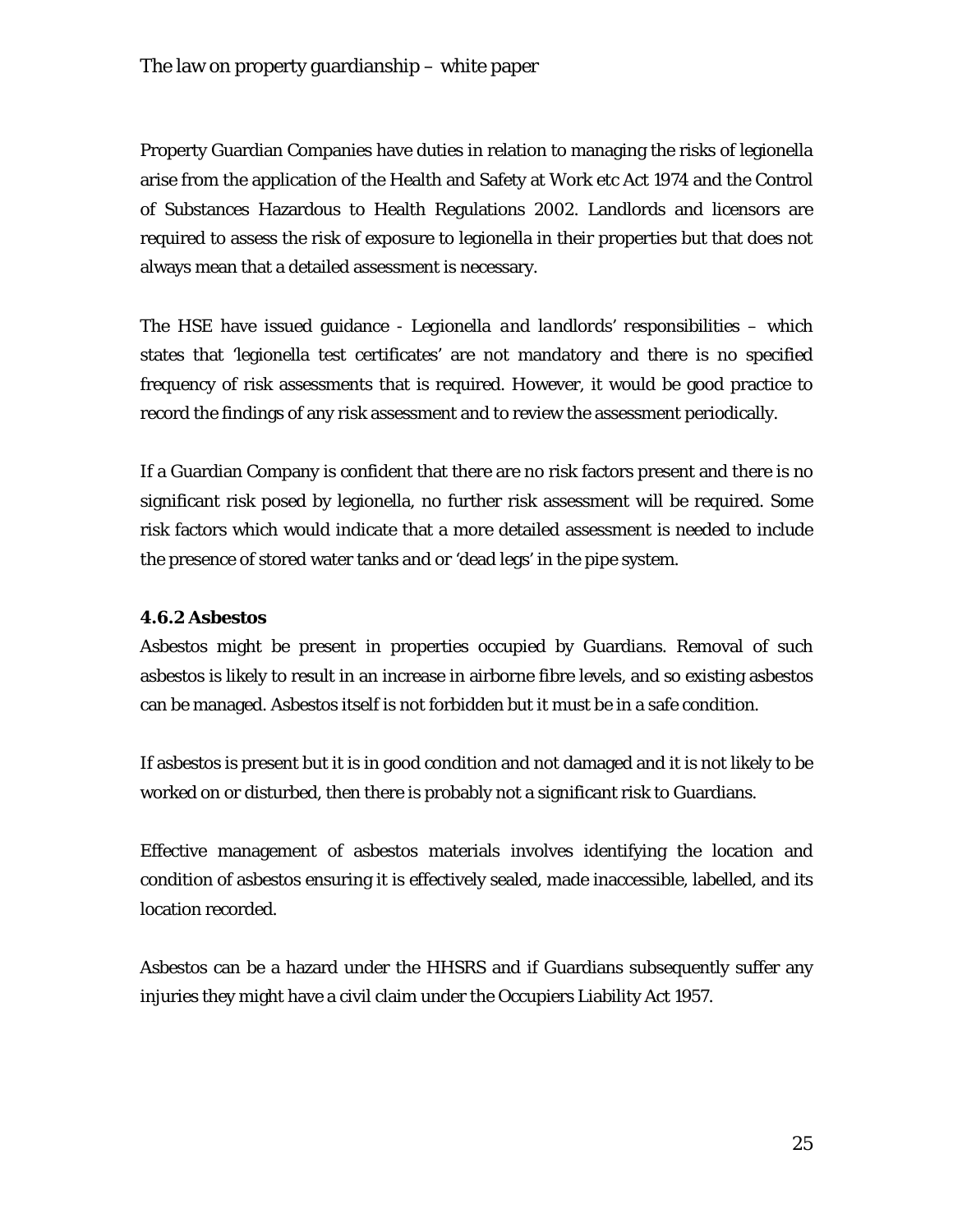Property Guardian Companies have duties in relation to managing the risks of legionella arise from the application of the Health and Safety at Work etc Act 1974 and the Control of Substances Hazardous to Health Regulations 2002. Landlords and licensors are required to assess the risk of exposure to legionella in their properties but that does not always mean that a detailed assessment is necessary.

The HSE have issued guidance - *Legionella and landlords' responsibilities* – which states that 'legionella test certificates' are not mandatory and there is no specified frequency of risk assessments that is required. However, it would be good practice to record the findings of any risk assessment and to review the assessment periodically.

If a Guardian Company is confident that there are no risk factors present and there is no significant risk posed by legionella, no further risk assessment will be required. Some risk factors which would indicate that a more detailed assessment is needed to include the presence of stored water tanks and or 'dead legs' in the pipe system.

## **4.6.2 Asbestos**

Asbestos might be present in properties occupied by Guardians. Removal of such asbestos is likely to result in an increase in airborne fibre levels, and so existing asbestos can be managed. Asbestos itself is not forbidden but it must be in a safe condition.

If asbestos is present but it is in good condition and not damaged and it is not likely to be worked on or disturbed, then there is probably not a significant risk to Guardians.

Effective management of asbestos materials involves identifying the location and condition of asbestos ensuring it is effectively sealed, made inaccessible, labelled, and its location recorded.

Asbestos can be a hazard under the HHSRS and if Guardians subsequently suffer any injuries they might have a civil claim under the Occupiers Liability Act 1957.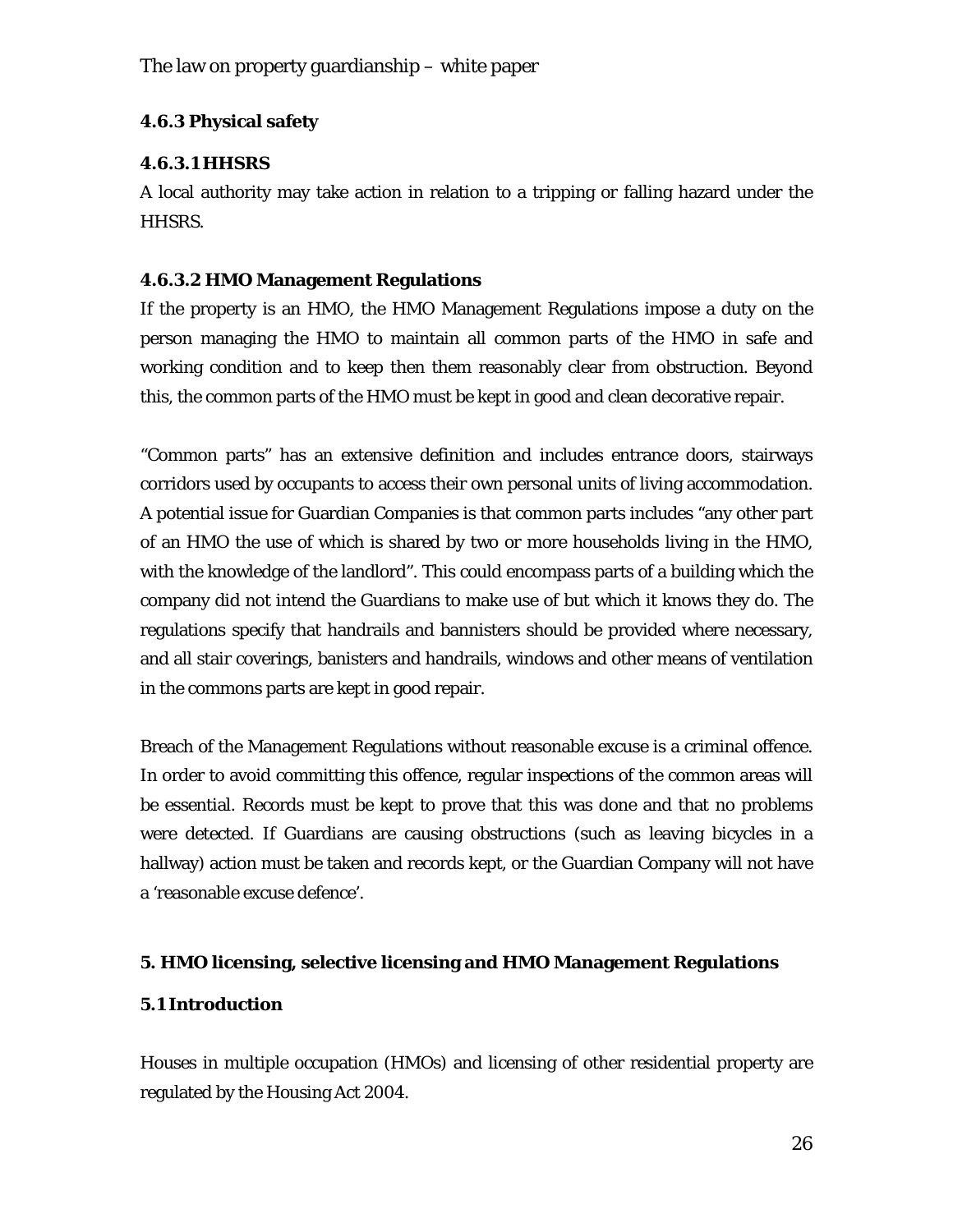## **4.6.3 Physical safety**

## **4.6.3.1 HHSRS**

A local authority may take action in relation to a tripping or falling hazard under the HHSRS.

## **4.6.3.2 HMO Management Regulations**

If the property is an HMO, the HMO Management Regulations impose a duty on the person managing the HMO to maintain all common parts of the HMO in safe and working condition and to keep then them reasonably clear from obstruction. Beyond this, the common parts of the HMO must be kept in good and clean decorative repair.

"Common parts" has an extensive definition and includes entrance doors, stairways corridors used by occupants to access their own personal units of living accommodation. A potential issue for Guardian Companies is that common parts includes "any other part of an HMO the use of which is shared by two or more households living in the HMO, with the knowledge of the landlord". This could encompass parts of a building which the company did not intend the Guardians to make use of but which it knows they do. The regulations specify that handrails and bannisters should be provided where necessary, and all stair coverings, banisters and handrails, windows and other means of ventilation in the commons parts are kept in good repair.

Breach of the Management Regulations without reasonable excuse is a criminal offence. In order to avoid committing this offence, regular inspections of the common areas will be essential. Records must be kept to prove that this was done and that no problems were detected. If Guardians are causing obstructions (such as leaving bicycles in a hallway) action must be taken and records kept, or the Guardian Company will not have a 'reasonable excuse defence'.

## **5. HMO licensing, selective licensing and HMO Management Regulations**

## **5.1 Introduction**

Houses in multiple occupation (HMOs) and licensing of other residential property are regulated by the Housing Act 2004.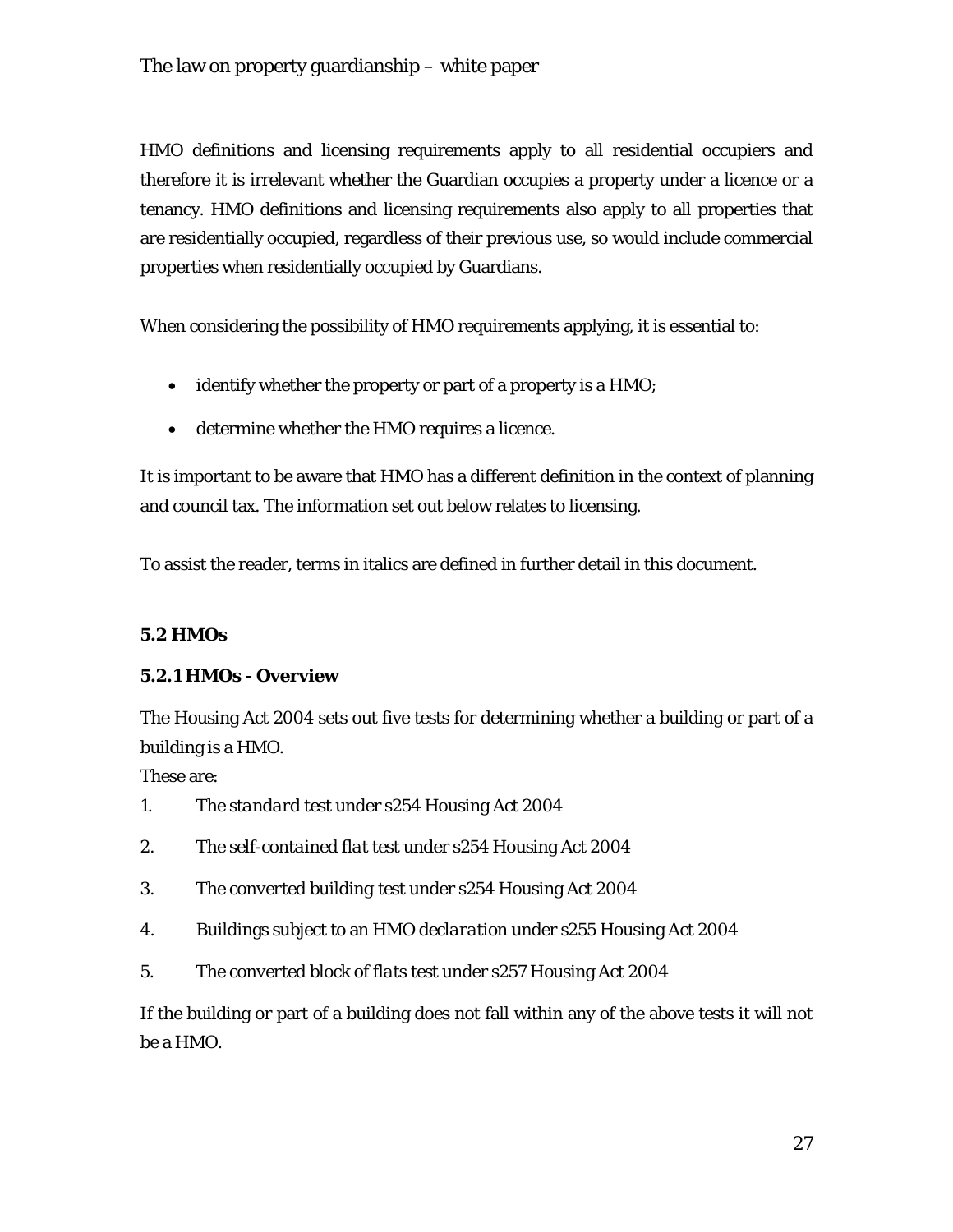HMO definitions and licensing requirements apply to all residential occupiers and therefore it is irrelevant whether the Guardian occupies a property under a licence or a tenancy. HMO definitions and licensing requirements also apply to all properties that are residentially occupied, regardless of their previous use, so would include commercial properties when residentially occupied by Guardians.

When considering the possibility of HMO requirements applying, it is essential to:

- identify whether the property or part of a property is a HMO;
- determine whether the HMO requires a licence.

It is important to be aware that HMO has a different definition in the context of planning and council tax. The information set out below relates to licensing.

To assist the reader, terms in italics are defined in further detail in this document.

## **5.2 HMOs**

#### **5.2.1 HMOs - Overview**

The Housing Act 2004 sets out five tests for determining whether a building or part of a building is a HMO.

These are:

- 1. The *standard test* under s254 Housing Act 2004
- 2. The *self-contained flat test* under s254 Housing Act 2004
- 3. The *converted building test* under s254 Housing Act 2004
- 4. Buildings subject to an *HMO declaration* under s255 Housing Act 2004
- 5. The *converted block of flats test* under s257 Housing Act 2004

If the building or part of a building does not fall within any of the above tests it will not be a HMO.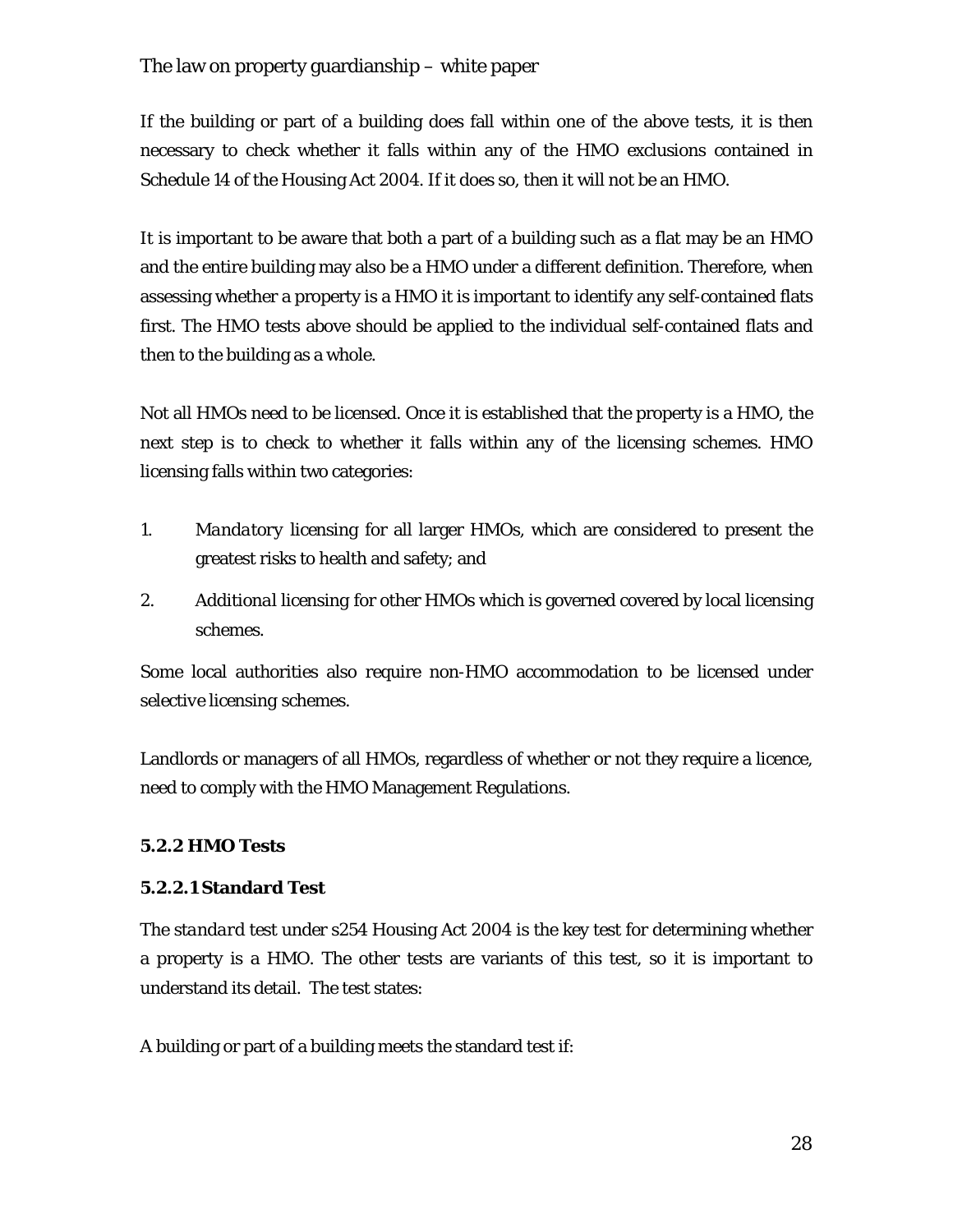If the building or part of a building does fall within one of the above tests, it is then necessary to check whether it falls within any of the HMO exclusions contained in Schedule 14 of the Housing Act 2004. If it does so, then it will not be an HMO.

It is important to be aware that both a part of a building such as a flat may be an HMO and the entire building may also be a HMO under a different definition. Therefore, when assessing whether a property is a HMO it is important to identify any self-contained flats first. The HMO tests above should be applied to the individual self-contained flats and then to the building as a whole.

Not all HMOs need to be licensed. Once it is established that the property is a HMO, the next step is to check to whether it falls within any of the licensing schemes. HMO licensing falls within two categories:

- 1. *Mandatory licensing* for all larger HMOs, which are considered to present the greatest risks to health and safety; and
- 2. *Additional licensing* for other HMOs which is governed covered by local licensing schemes.

Some local authorities also require non-HMO accommodation to be licensed under *selective licensing* schemes.

Landlords or managers of all HMOs, regardless of whether or not they require a licence, need to comply with the HMO Management Regulations.

## **5.2.2 HMO Tests**

## **5.2.2.1 Standard Test**

The *standard test* under s254 Housing Act 2004 is the key test for determining whether a property is a HMO. The other tests are variants of this test, so it is important to understand its detail. The test states:

A building or part of a building meets the standard test if: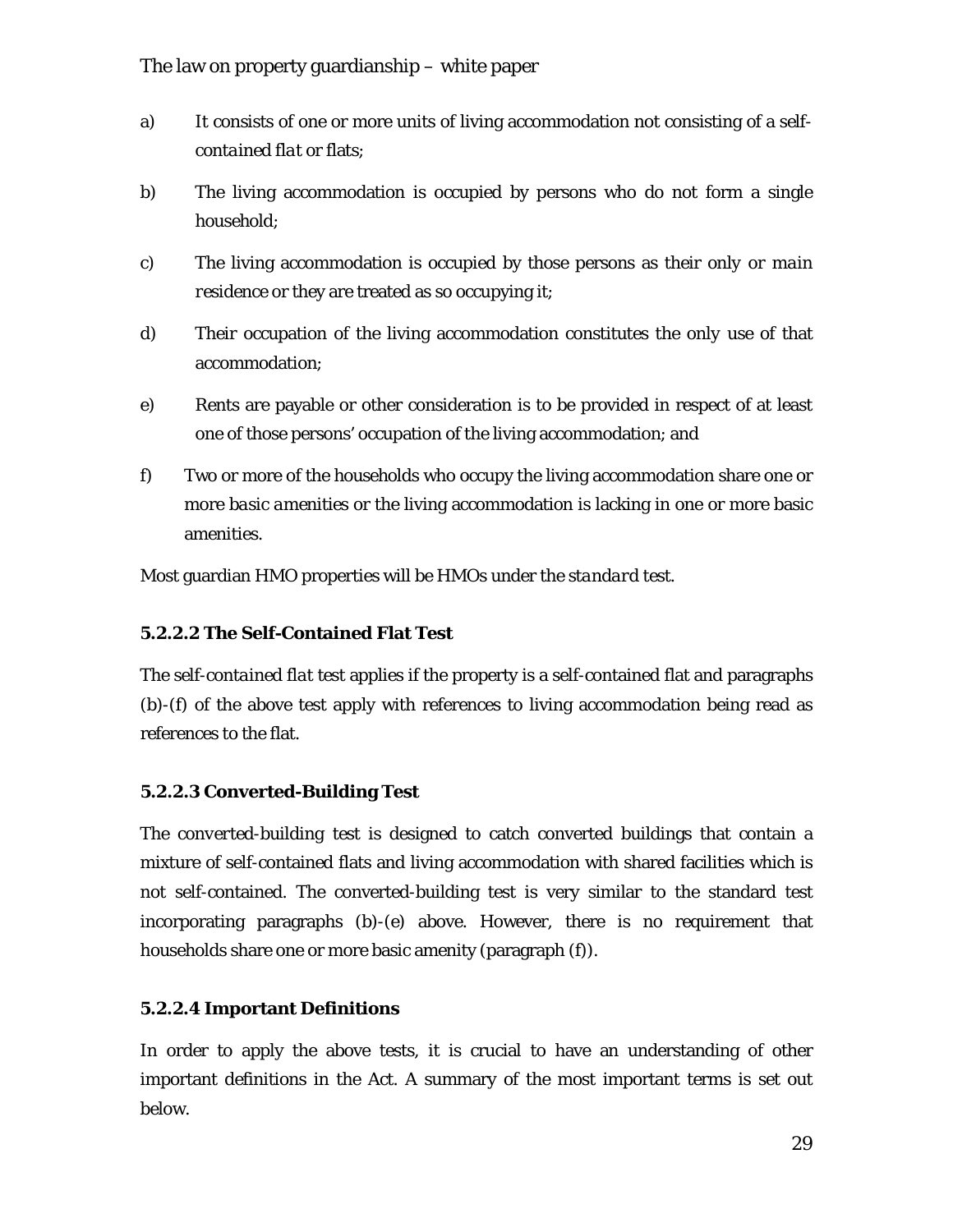- a) It consists of one or more units of living accommodation not consisting of a *selfcontained flat* or flats;
- b) The living accommodation is occupied by persons who do not form a single *household*;
- c) The living accommodation is occupied by those persons as their *only or main residence* or they are treated as so occupying it;
- d) Their occupation of the living accommodation constitutes the *only use* of that accommodation;
- e) Rents are payable or other consideration is to be provided in respect of at least one of those persons' occupation of the living accommodation; and
- f) Two or more of the *households* who occupy the living accommodation share one or more *basic amenities* or the living accommodation is lacking in one or more basic amenities.

Most guardian HMO properties will be HMOs under the *standard test*.

#### **5.2.2.2 The Self-Contained Flat Test**

The *self-contained flat test* applies if the property is a self-contained flat and paragraphs (b)-(f) of the above test apply with references to living accommodation being read as references to the flat.

#### **5.2.2.3 Converted-Building Test**

The *converted-building test* is designed to catch converted buildings that contain a mixture of self-contained flats and living accommodation with shared facilities which is not self-contained. The converted-building test is very similar to the standard test incorporating paragraphs (b)-(e) above. However, there is no requirement that households share one or more basic amenity (paragraph (f)).

#### **5.2.2.4 Important Definitions**

In order to apply the above tests, it is crucial to have an understanding of other important definitions in the Act. A summary of the most important terms is set out below.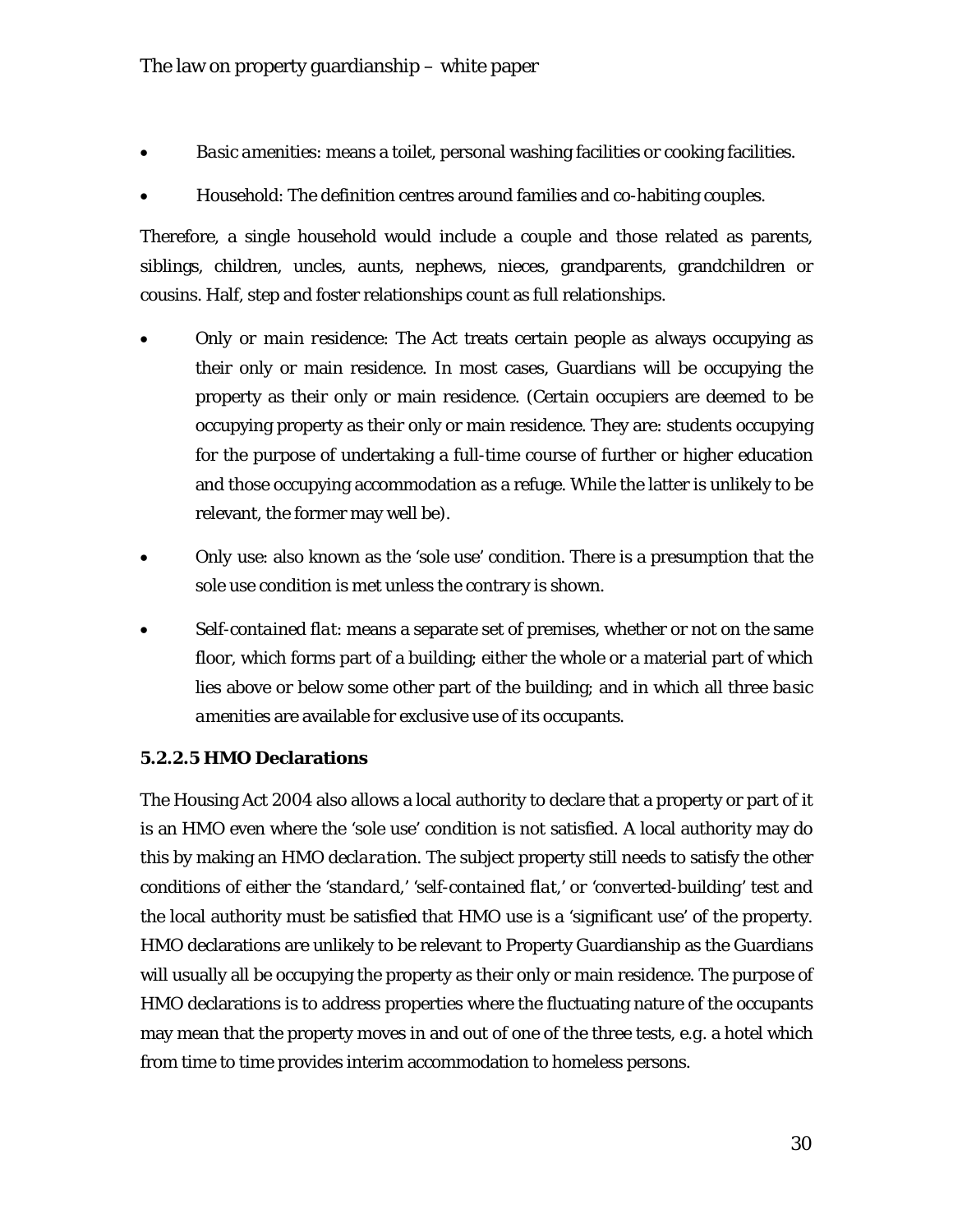- *Basic amenities*: means a toilet, personal washing facilities or cooking facilities.
- *Household*: The definition centres around families and co-habiting couples.

Therefore, a single household would include a couple and those related as parents, siblings, children, uncles, aunts, nephews, nieces, grandparents, grandchildren or cousins. Half, step and foster relationships count as full relationships.

- *Only or main residence*: The Act treats certain people as always occupying as their only or main residence. In most cases, Guardians will be occupying the property as their only or main residence. (Certain occupiers are deemed to be occupying property as their only or main residence. They are: students occupying for the purpose of undertaking a full-time course of further or higher education and those occupying accommodation as a refuge. While the latter is unlikely to be relevant, the former may well be).
- *Only use*: also known as the 'sole use' condition. There is a presumption that the sole use condition is met unless the contrary is shown.
- *Self-contained flat*: means a separate set of premises, whether or not on the same floor, which forms part of a building; either the whole or a material part of which lies above or below some other part of the building; and in which all three *basic amenities* are available for exclusive use of its occupants.

#### **5.2.2.5 HMO Declarations**

The Housing Act 2004 also allows a local authority to declare that a property or part of it is an HMO even where the 'sole use' condition is not satisfied. A local authority may do this by making an *HMO declaration*. The subject property still needs to satisfy the other conditions of either the '*standard,' 'self-contained flat,'* or *'converted-building*' test and the local authority must be satisfied that HMO use is a 'significant use' of the property. HMO declarations are unlikely to be relevant to Property Guardianship as the Guardians will usually all be occupying the property as their only or main residence. The purpose of HMO declarations is to address properties where the fluctuating nature of the occupants may mean that the property moves in and out of one of the three tests, *e.g.* a hotel which from time to time provides interim accommodation to homeless persons.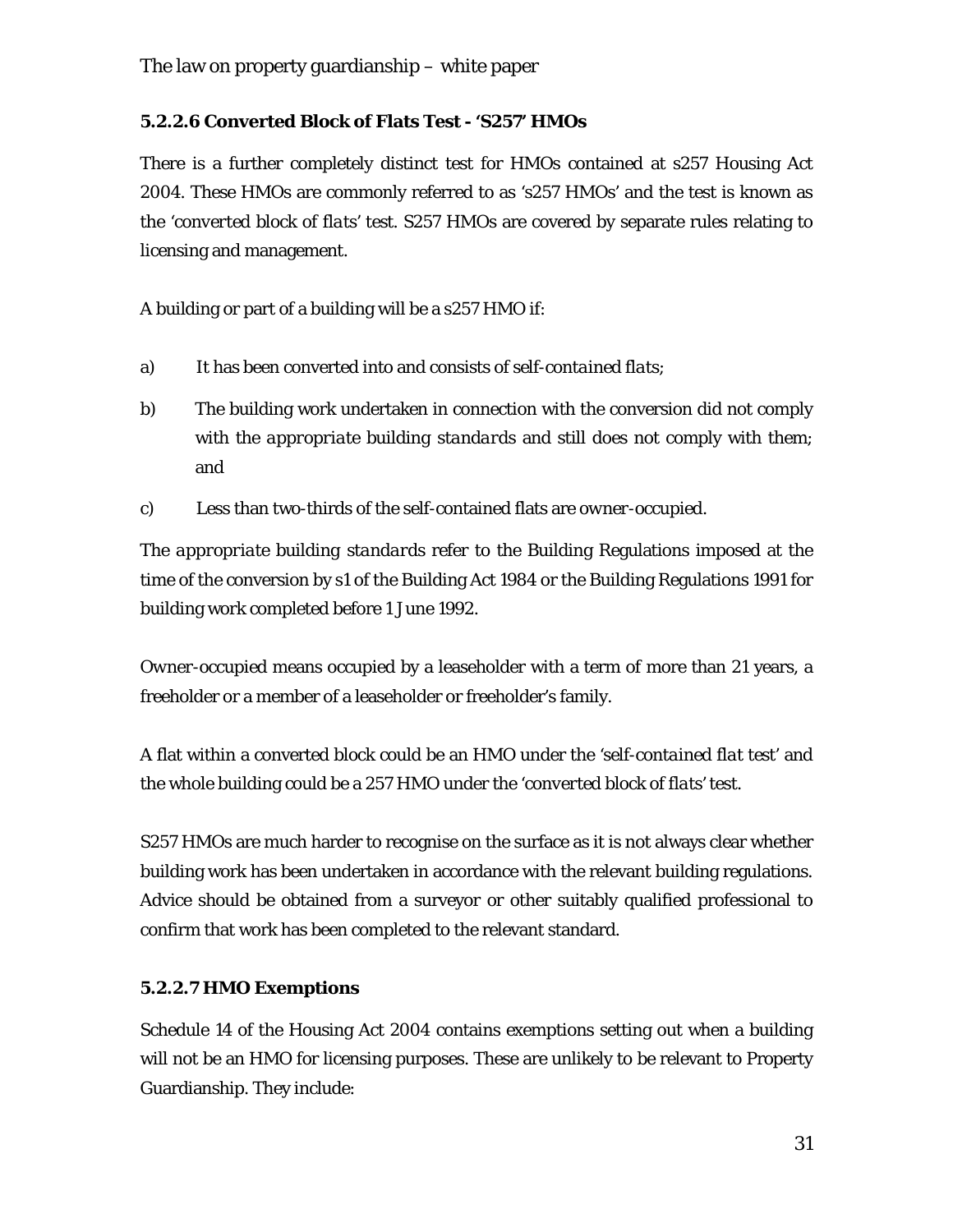## **5.2.2.6 Converted Block of Flats Test - 'S257' HMOs**

There is a further completely distinct test for HMOs contained at s257 Housing Act 2004. These HMOs are commonly referred to as 's257 HMOs' and the test is known as the '*converted block of flats'* test. S257 HMOs are covered by separate rules relating to licensing and management.

A building or part of a building will be a s257 HMO if:

- a) It has been converted into and consists of *self-contained flats*;
- b) The building work undertaken in connection with the conversion did not comply with the *appropriate building standards* and still does not comply with them; and
- c) Less than two-thirds of the self-contained flats are *owner-occupied*.

The *appropriate building standards* refer to the Building Regulations imposed at the time of the conversion by s1 of the Building Act 1984 or the Building Regulations 1991 for building work completed before 1 June 1992.

*Owner-occupied* means occupied by a leaseholder with a term of more than 21 years, a freeholder or a member of a leaseholder or freeholder's family.

A flat within a converted block could be an HMO under the '*self-contained flat test*' and the whole building could be a 257 HMO under the '*converted block of flats'* test.

S257 HMOs are much harder to recognise on the surface as it is not always clear whether building work has been undertaken in accordance with the relevant building regulations. Advice should be obtained from a surveyor or other suitably qualified professional to confirm that work has been completed to the relevant standard.

## **5.2.2.7 HMO Exemptions**

Schedule 14 of the Housing Act 2004 contains exemptions setting out when a building will not be an HMO for licensing purposes. These are unlikely to be relevant to Property Guardianship. They include: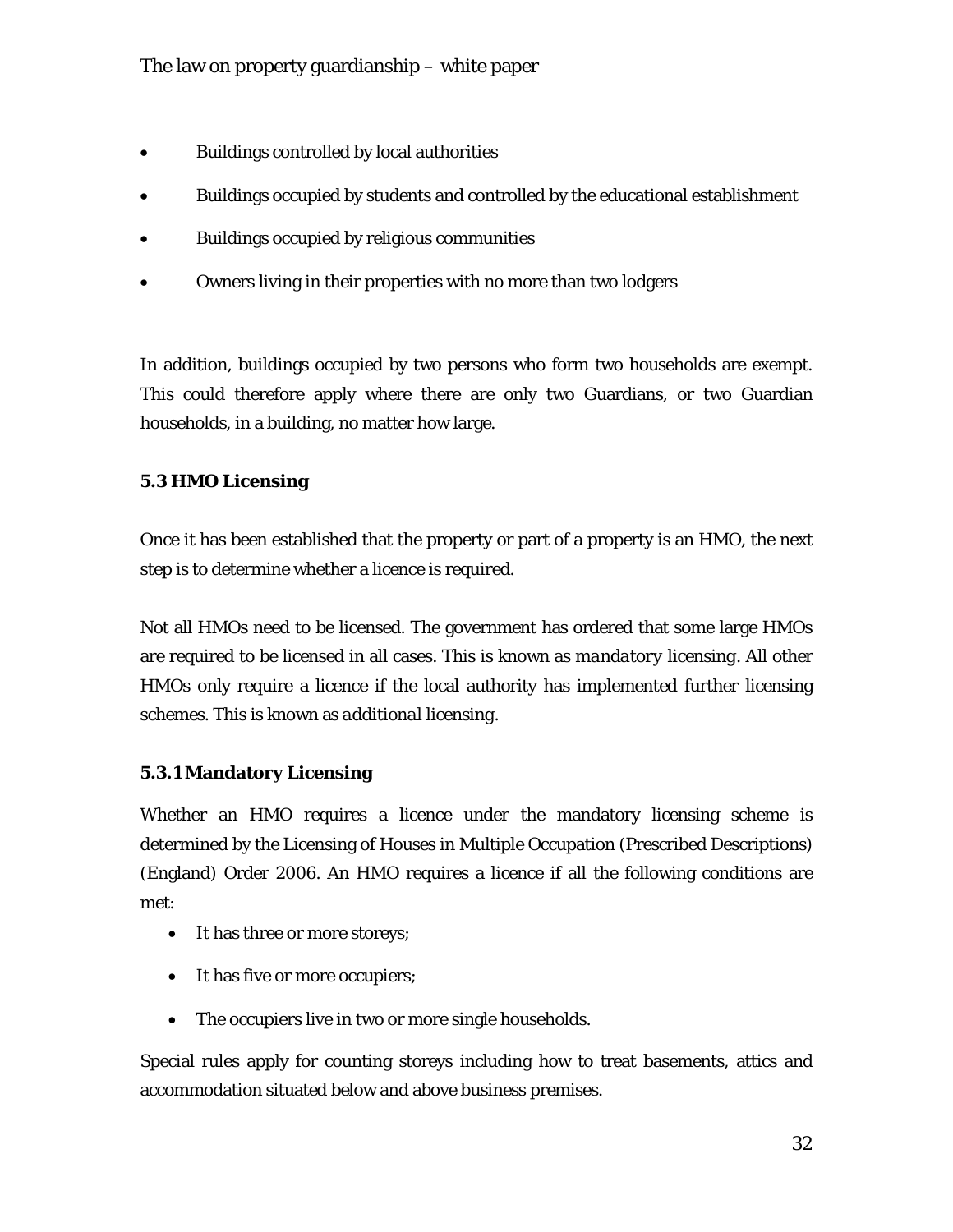- Buildings controlled by local authorities
- Buildings occupied by students and controlled by the educational establishment
- Buildings occupied by religious communities
- Owners living in their properties with no more than two lodgers

In addition, buildings occupied by two persons who form two households are exempt. This could therefore apply where there are only two Guardians, or two Guardian households, in a building, no matter how large.

## **5.3 HMO Licensing**

Once it has been established that the property or part of a property is an HMO, the next step is to determine whether a licence is required.

Not all HMOs need to be licensed. The government has ordered that some large HMOs are required to be licensed in all cases. This is known as *mandatory licensing*. All other HMOs only require a licence if the local authority has implemented further licensing schemes. This is known as *additional licensing*.

## **5.3.1 Mandatory Licensing**

Whether an HMO requires a licence under the mandatory licensing scheme is determined by the Licensing of Houses in Multiple Occupation (Prescribed Descriptions) (England) Order 2006. An HMO requires a licence if all the following conditions are met:

- It has three or more storeys;
- It has five or more occupiers;
- The occupiers live in two or more single households.

Special rules apply for counting storeys including how to treat basements, attics and accommodation situated below and above business premises.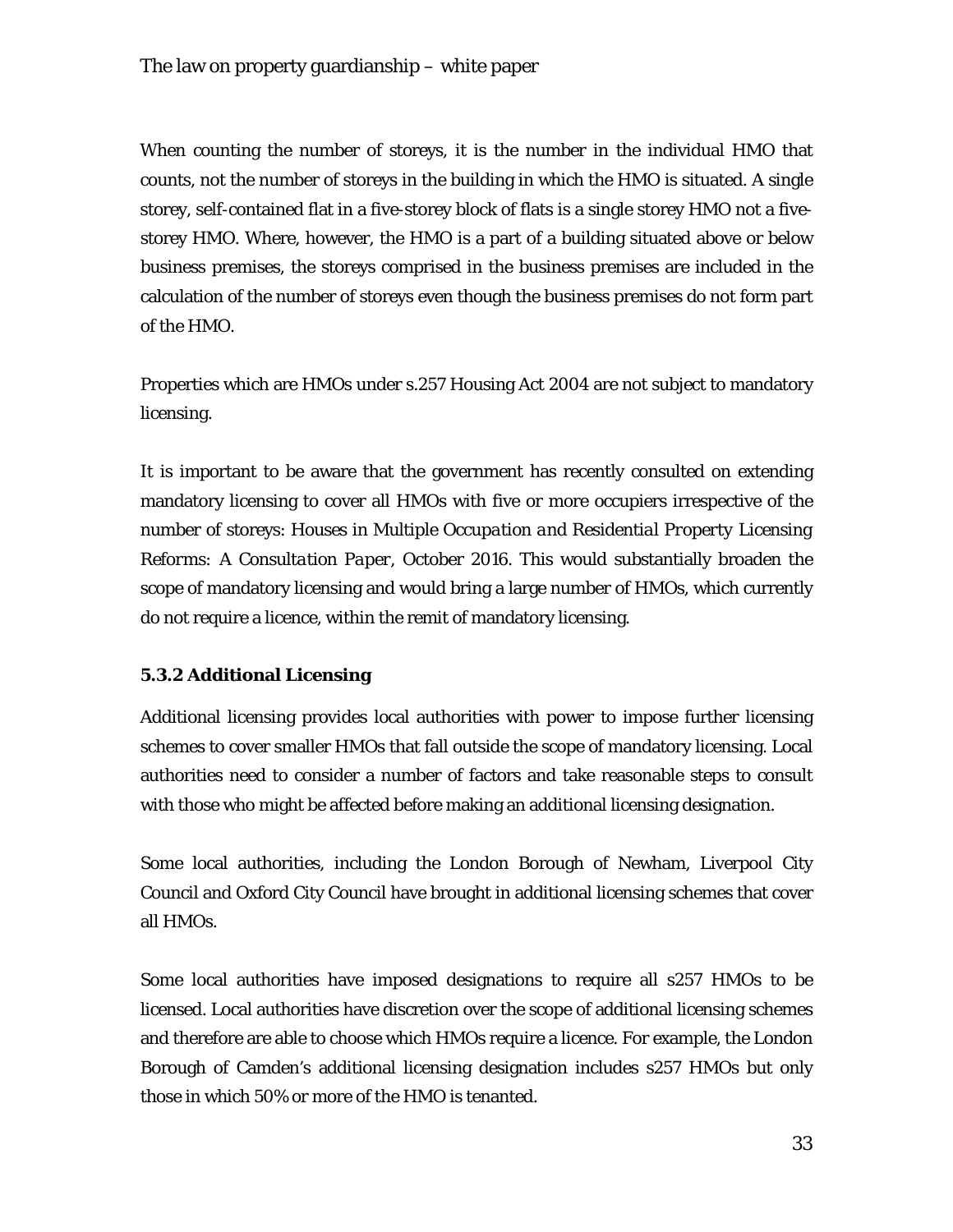When counting the number of storeys, it is the number in the individual HMO that counts, not the number of storeys in the building in which the HMO is situated. A single storey, self-contained flat in a five-storey block of flats is a single storey HMO not a fivestorey HMO. Where, however, the HMO is a part of a building situated above or below business premises, the storeys comprised in the business premises are included in the calculation of the number of storeys even though the business premises do not form part of the HMO.

Properties which are HMOs under s.257 Housing Act 2004 are not subject to mandatory licensing.

It is important to be aware that the government has recently consulted on extending mandatory licensing to cover all HMOs with five or more occupiers irrespective of the number of storeys: *Houses in Multiple Occupation and Residential Property Licensing Reforms: A Consultation Paper*, October 2016. This would substantially broaden the scope of mandatory licensing and would bring a large number of HMOs, which currently do not require a licence, within the remit of mandatory licensing.

## **5.3.2 Additional Licensing**

Additional licensing provides local authorities with power to impose further licensing schemes to cover smaller HMOs that fall outside the scope of mandatory licensing. Local authorities need to consider a number of factors and take reasonable steps to consult with those who might be affected before making an additional licensing designation.

Some local authorities, including the London Borough of Newham, Liverpool City Council and Oxford City Council have brought in additional licensing schemes that cover all HMOs.

Some local authorities have imposed designations to require all s257 HMOs to be licensed. Local authorities have discretion over the scope of additional licensing schemes and therefore are able to choose which HMOs require a licence. For example, the London Borough of Camden's additional licensing designation includes s257 HMOs but only those in which 50% or more of the HMO is tenanted.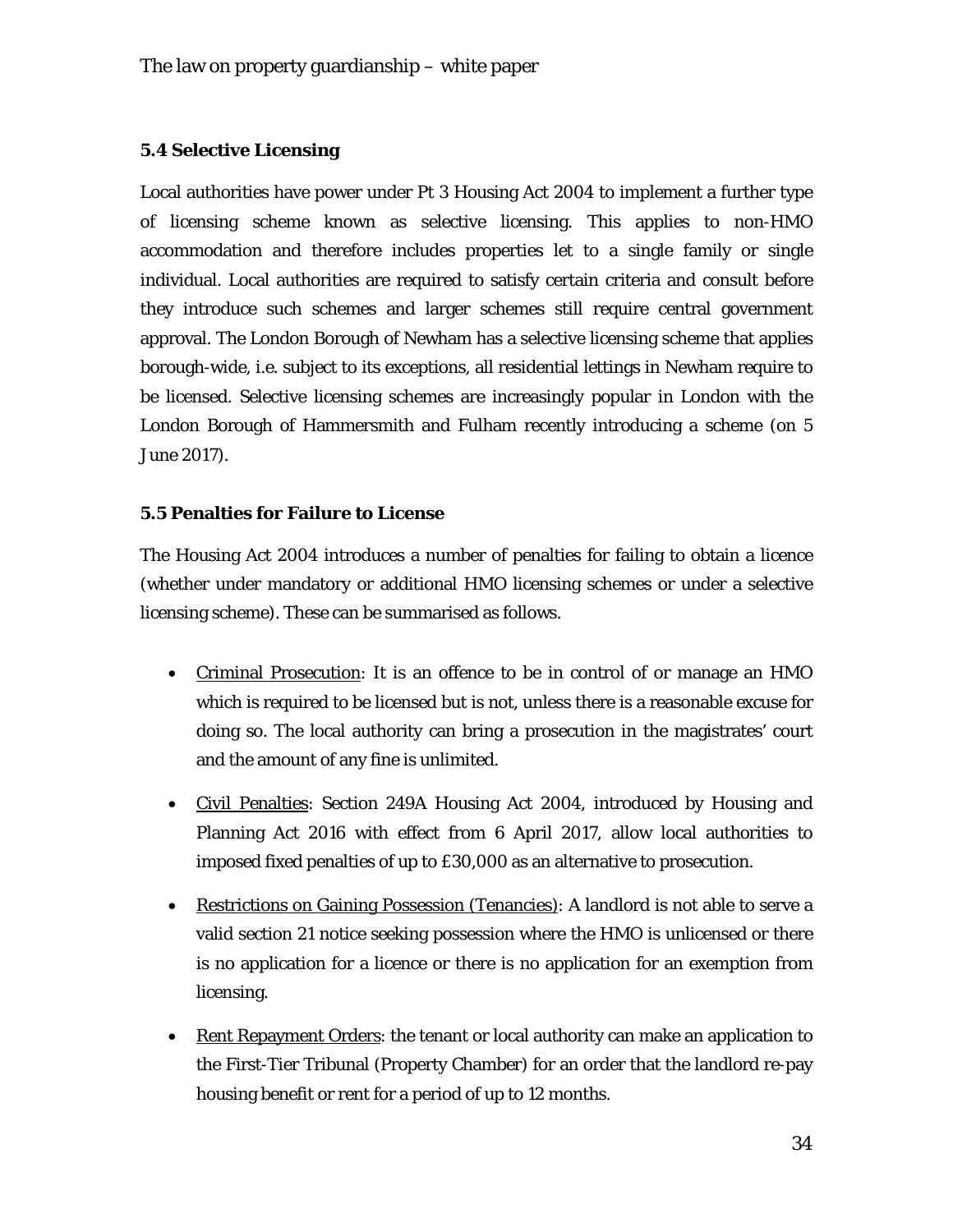#### **5.4 Selective Licensing**

Local authorities have power under Pt 3 Housing Act 2004 to implement a further type of licensing scheme known as selective licensing. This applies to non-HMO accommodation and therefore includes properties let to a single family or single individual. Local authorities are required to satisfy certain criteria and consult before they introduce such schemes and larger schemes still require central government approval. The London Borough of Newham has a selective licensing scheme that applies borough-wide, *i.e.* subject to its exceptions, all residential lettings in Newham require to be licensed. Selective licensing schemes are increasingly popular in London with the London Borough of Hammersmith and Fulham recently introducing a scheme (on 5 June 2017).

#### **5.5 Penalties for Failure to License**

The Housing Act 2004 introduces a number of penalties for failing to obtain a licence (whether under mandatory or additional HMO licensing schemes or under a selective licensing scheme). These can be summarised as follows.

- Criminal Prosecution: It is an offence to be in control of or manage an HMO which is required to be licensed but is not, unless there is a reasonable excuse for doing so. The local authority can bring a prosecution in the magistrates' court and the amount of any fine is unlimited.
- Civil Penalties: Section 249A Housing Act 2004, introduced by Housing and Planning Act 2016 with effect from 6 April 2017, allow local authorities to imposed fixed penalties of up to £30,000 as an alternative to prosecution.
- Restrictions on Gaining Possession (Tenancies): A landlord is not able to serve a valid section 21 notice seeking possession where the HMO is unlicensed or there is no application for a licence or there is no application for an exemption from licensing.
- Rent Repayment Orders: the tenant or local authority can make an application to the First-Tier Tribunal (Property Chamber) for an order that the landlord re-pay housing benefit or rent for a period of up to 12 months.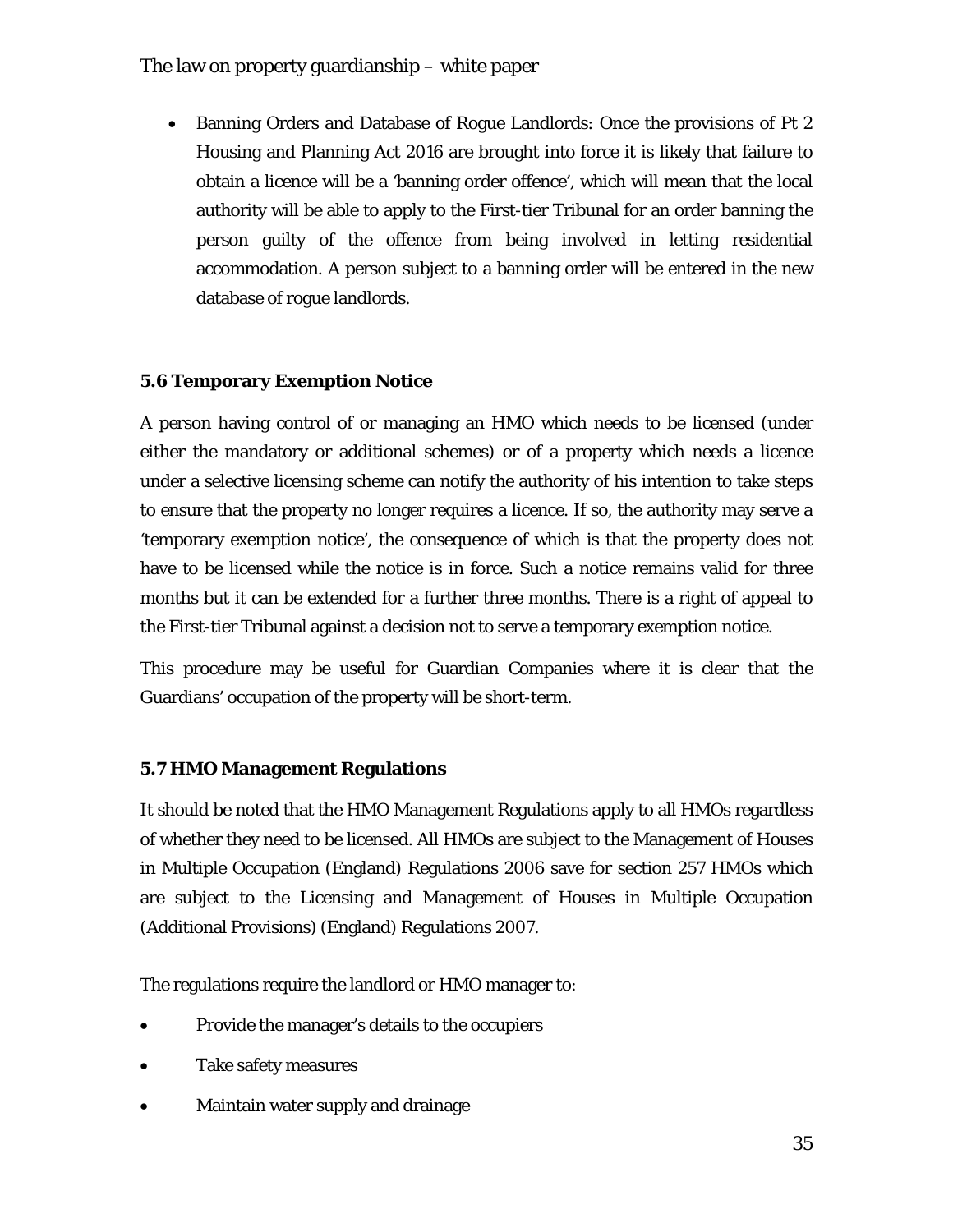• Banning Orders and Database of Rogue Landlords: Once the provisions of Pt 2 Housing and Planning Act 2016 are brought into force it is likely that failure to obtain a licence will be a 'banning order offence', which will mean that the local authority will be able to apply to the First-tier Tribunal for an order banning the person guilty of the offence from being involved in letting residential accommodation. A person subject to a banning order will be entered in the new database of rogue landlords.

## **5.6 Temporary Exemption Notice**

A person having control of or managing an HMO which needs to be licensed (under either the mandatory or additional schemes) or of a property which needs a licence under a selective licensing scheme can notify the authority of his intention to take steps to ensure that the property no longer requires a licence. If so, the authority may serve a 'temporary exemption notice', the consequence of which is that the property does not have to be licensed while the notice is in force. Such a notice remains valid for three months but it can be extended for a further three months. There is a right of appeal to the First-tier Tribunal against a decision not to serve a temporary exemption notice.

This procedure may be useful for Guardian Companies where it is clear that the Guardians' occupation of the property will be short-term.

#### **5.7 HMO Management Regulations**

It should be noted that the HMO Management Regulations apply to all HMOs regardless of whether they need to be licensed. All HMOs are subject to the Management of Houses in Multiple Occupation (England) Regulations 2006 save for section 257 HMOs which are subject to the Licensing and Management of Houses in Multiple Occupation (Additional Provisions) (England) Regulations 2007.

The regulations require the landlord or HMO manager to:

- Provide the manager's details to the occupiers
- Take safety measures
- Maintain water supply and drainage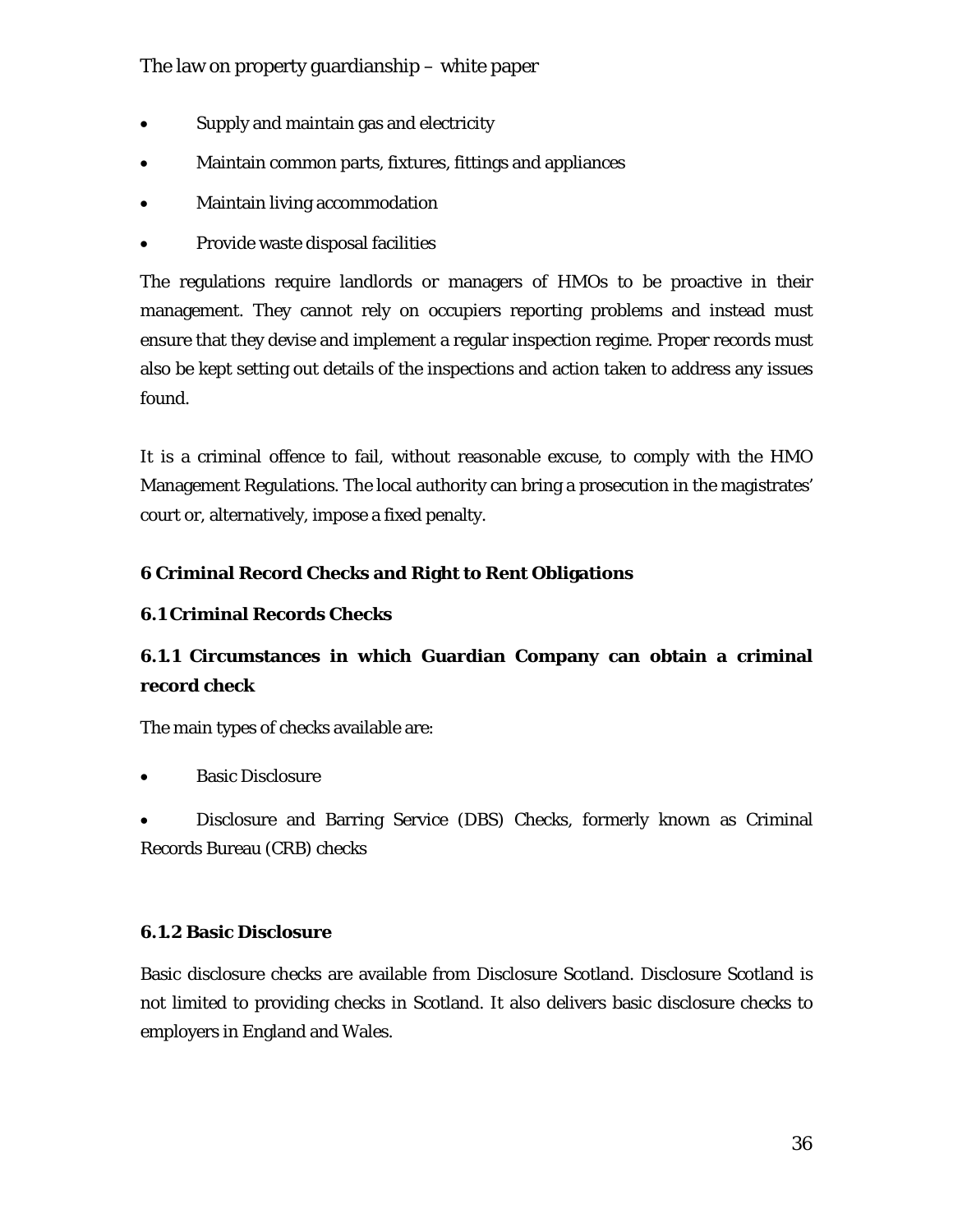- Supply and maintain gas and electricity
- Maintain common parts, fixtures, fittings and appliances
- Maintain living accommodation
- Provide waste disposal facilities

The regulations require landlords or managers of HMOs to be proactive in their management. They cannot rely on occupiers reporting problems and instead must ensure that they devise and implement a regular inspection regime. Proper records must also be kept setting out details of the inspections and action taken to address any issues found.

It is a criminal offence to fail, without reasonable excuse, to comply with the HMO Management Regulations. The local authority can bring a prosecution in the magistrates' court or, alternatively, impose a fixed penalty.

## **6 Criminal Record Checks and Right to Rent Obligations**

## **6.1 Criminal Records Checks**

## **6.1.1 Circumstances in which Guardian Company can obtain a criminal record check**

The main types of checks available are:

**Basic Disclosure** 

• Disclosure and Barring Service (DBS) Checks, formerly known as Criminal Records Bureau (CRB) checks

#### **6.1.2 Basic Disclosure**

Basic disclosure checks are available from Disclosure Scotland. Disclosure Scotland is not limited to providing checks in Scotland. It also delivers basic disclosure checks to employers in England and Wales.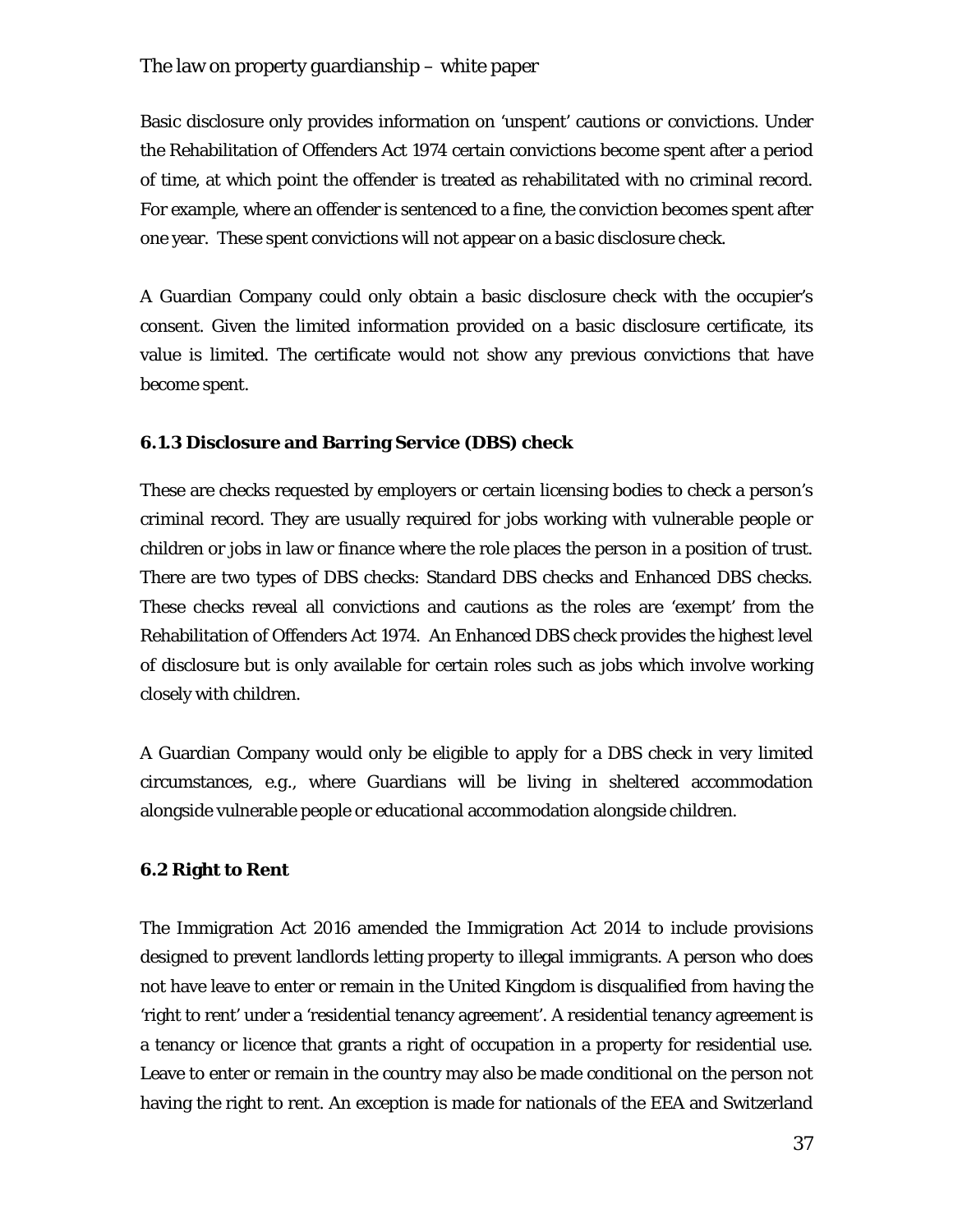Basic disclosure only provides information on 'unspent' cautions or convictions. Under the Rehabilitation of Offenders Act 1974 certain convictions become spent after a period of time, at which point the offender is treated as rehabilitated with no criminal record. For example, where an offender is sentenced to a fine, the conviction becomes spent after one year. These spent convictions will not appear on a basic disclosure check.

A Guardian Company could only obtain a basic disclosure check with the occupier's consent. Given the limited information provided on a basic disclosure certificate, its value is limited. The certificate would not show any previous convictions that have become spent.

#### **6.1.3 Disclosure and Barring Service (DBS) check**

These are checks requested by employers or certain licensing bodies to check a person's criminal record. They are usually required for jobs working with vulnerable people or children or jobs in law or finance where the role places the person in a position of trust. There are two types of DBS checks: Standard DBS checks and Enhanced DBS checks. These checks reveal all convictions and cautions as the roles are 'exempt' from the Rehabilitation of Offenders Act 1974. An Enhanced DBS check provides the highest level of disclosure but is only available for certain roles such as jobs which involve working closely with children.

A Guardian Company would only be eligible to apply for a DBS check in very limited circumstances, *e.g.*, where Guardians will be living in sheltered accommodation alongside vulnerable people or educational accommodation alongside children.

#### **6.2 Right to Rent**

The Immigration Act 2016 amended the Immigration Act 2014 to include provisions designed to prevent landlords letting property to illegal immigrants. A person who does not have leave to enter or remain in the United Kingdom is disqualified from having the 'right to rent' under a 'residential tenancy agreement'. A residential tenancy agreement is a tenancy or licence that grants a right of occupation in a property for residential use. Leave to enter or remain in the country may also be made conditional on the person not having the right to rent. An exception is made for nationals of the EEA and Switzerland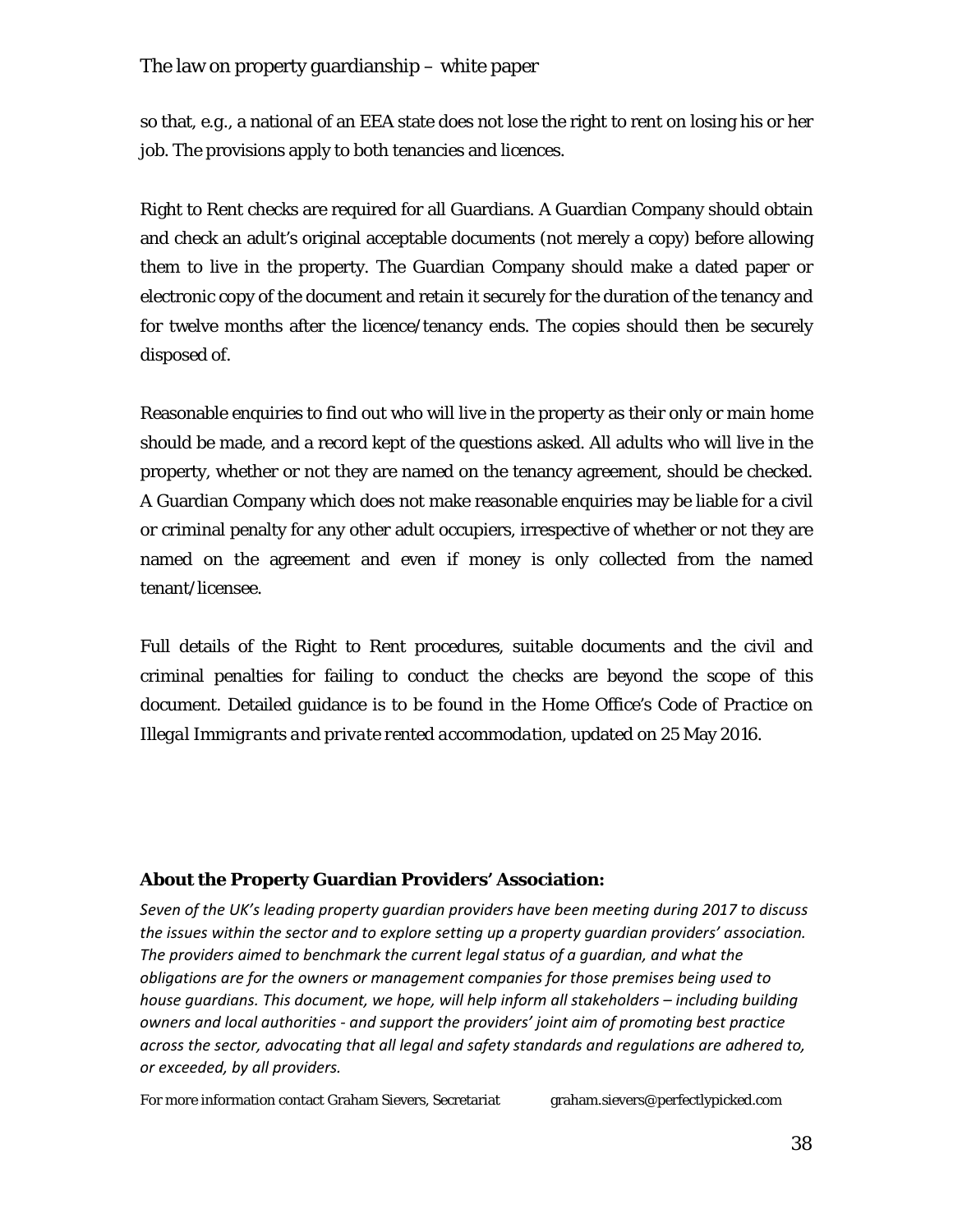so that, *e.g.*, a national of an EEA state does not lose the right to rent on losing his or her job. The provisions apply to both tenancies and licences.

Right to Rent checks are required for all Guardians. A Guardian Company should obtain and check an adult's original acceptable documents (not merely a copy) before allowing them to live in the property. The Guardian Company should make a dated paper or electronic copy of the document and retain it securely for the duration of the tenancy and for twelve months after the licence/tenancy ends. The copies should then be securely disposed of.

Reasonable enquiries to find out who will live in the property as their only or main home should be made, and a record kept of the questions asked. All adults who will live in the property, whether or not they are named on the tenancy agreement, should be checked. A Guardian Company which does not make reasonable enquiries may be liable for a civil or criminal penalty for any other adult occupiers, irrespective of whether or not they are named on the agreement and even if money is only collected from the named tenant/licensee.

Full details of the Right to Rent procedures, suitable documents and the civil and criminal penalties for failing to conduct the checks are beyond the scope of this document. Detailed guidance is to be found in the Home Office's *Code of Practice on Illegal Immigrants and private rented accommodation*, updated on 25 May 2016.

## **About the Property Guardian Providers' Association:**

*Seven of the UK's leading property guardian providers have been meeting during 2017 to discuss the issues within the sector and to explore setting up a property guardian providers' association. The providers aimed to benchmark the current legal status of a guardian, and what the obligations are for the owners or management companies for those premises being used to house guardians. This document, we hope, will help inform all stakeholders – including building owners and local authorities - and support the providers' joint aim of promoting best practice across the sector, advocating that all legal and safety standards and regulations are adhered to, or exceeded, by all providers.*

For more information contact Graham Sievers, Secretariat graham.sievers@perfectlypicked.com